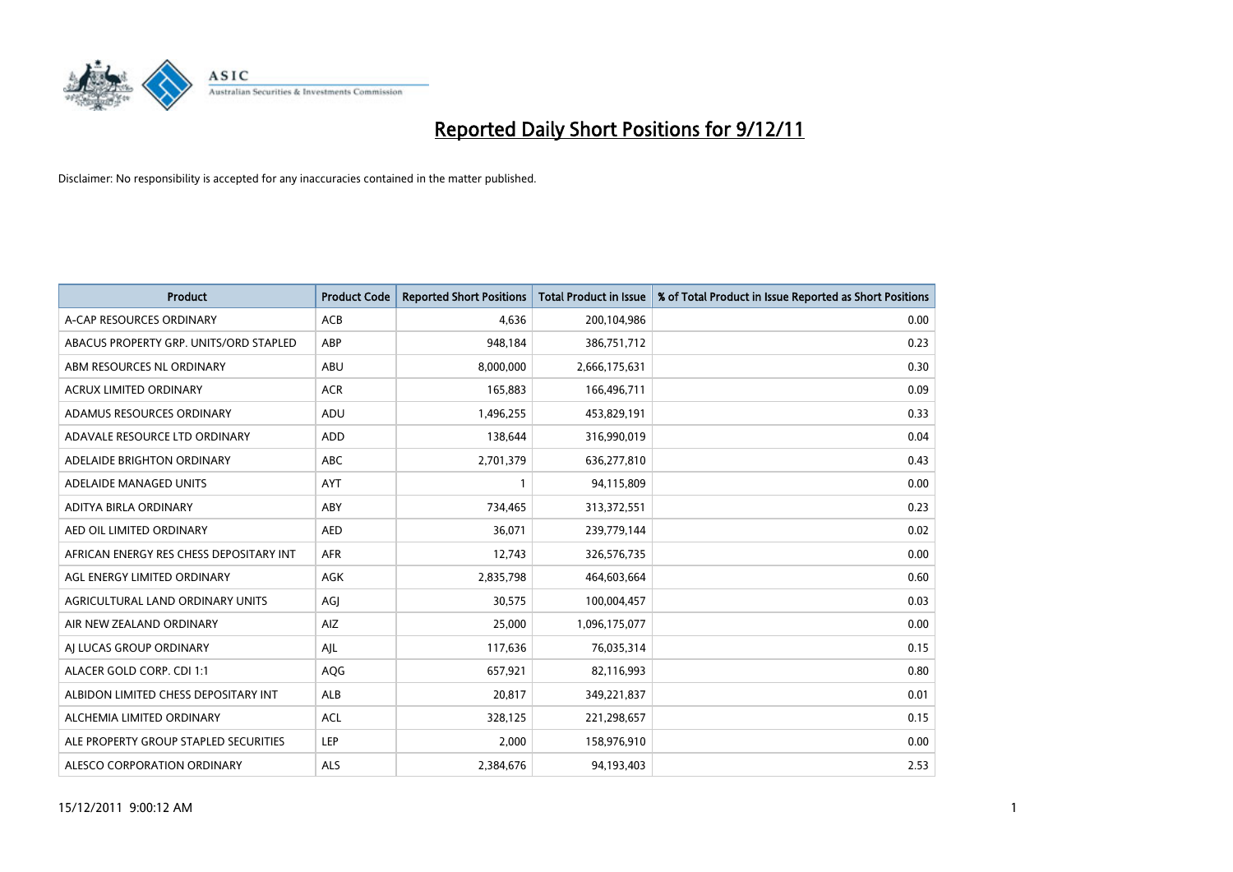

| <b>Product</b>                          | <b>Product Code</b> | <b>Reported Short Positions</b> | <b>Total Product in Issue</b> | % of Total Product in Issue Reported as Short Positions |
|-----------------------------------------|---------------------|---------------------------------|-------------------------------|---------------------------------------------------------|
| A-CAP RESOURCES ORDINARY                | <b>ACB</b>          | 4,636                           | 200,104,986                   | 0.00                                                    |
| ABACUS PROPERTY GRP. UNITS/ORD STAPLED  | ABP                 | 948,184                         | 386,751,712                   | 0.23                                                    |
| ABM RESOURCES NL ORDINARY               | <b>ABU</b>          | 8,000,000                       | 2,666,175,631                 | 0.30                                                    |
| ACRUX LIMITED ORDINARY                  | <b>ACR</b>          | 165,883                         | 166,496,711                   | 0.09                                                    |
| ADAMUS RESOURCES ORDINARY               | ADU                 | 1,496,255                       | 453,829,191                   | 0.33                                                    |
| ADAVALE RESOURCE LTD ORDINARY           | ADD                 | 138,644                         | 316,990,019                   | 0.04                                                    |
| ADELAIDE BRIGHTON ORDINARY              | <b>ABC</b>          | 2,701,379                       | 636,277,810                   | 0.43                                                    |
| ADELAIDE MANAGED UNITS                  | <b>AYT</b>          |                                 | 94,115,809                    | 0.00                                                    |
| ADITYA BIRLA ORDINARY                   | ABY                 | 734,465                         | 313,372,551                   | 0.23                                                    |
| AED OIL LIMITED ORDINARY                | <b>AED</b>          | 36,071                          | 239,779,144                   | 0.02                                                    |
| AFRICAN ENERGY RES CHESS DEPOSITARY INT | <b>AFR</b>          | 12,743                          | 326,576,735                   | 0.00                                                    |
| AGL ENERGY LIMITED ORDINARY             | <b>AGK</b>          | 2,835,798                       | 464,603,664                   | 0.60                                                    |
| AGRICULTURAL LAND ORDINARY UNITS        | AGI                 | 30,575                          | 100,004,457                   | 0.03                                                    |
| AIR NEW ZEALAND ORDINARY                | AIZ                 | 25,000                          | 1,096,175,077                 | 0.00                                                    |
| AI LUCAS GROUP ORDINARY                 | AJL                 | 117,636                         | 76,035,314                    | 0.15                                                    |
| ALACER GOLD CORP. CDI 1:1               | <b>AQG</b>          | 657,921                         | 82,116,993                    | 0.80                                                    |
| ALBIDON LIMITED CHESS DEPOSITARY INT    | <b>ALB</b>          | 20,817                          | 349,221,837                   | 0.01                                                    |
| ALCHEMIA LIMITED ORDINARY               | <b>ACL</b>          | 328,125                         | 221,298,657                   | 0.15                                                    |
| ALE PROPERTY GROUP STAPLED SECURITIES   | LEP                 | 2.000                           | 158,976,910                   | 0.00                                                    |
| ALESCO CORPORATION ORDINARY             | <b>ALS</b>          | 2,384,676                       | 94,193,403                    | 2.53                                                    |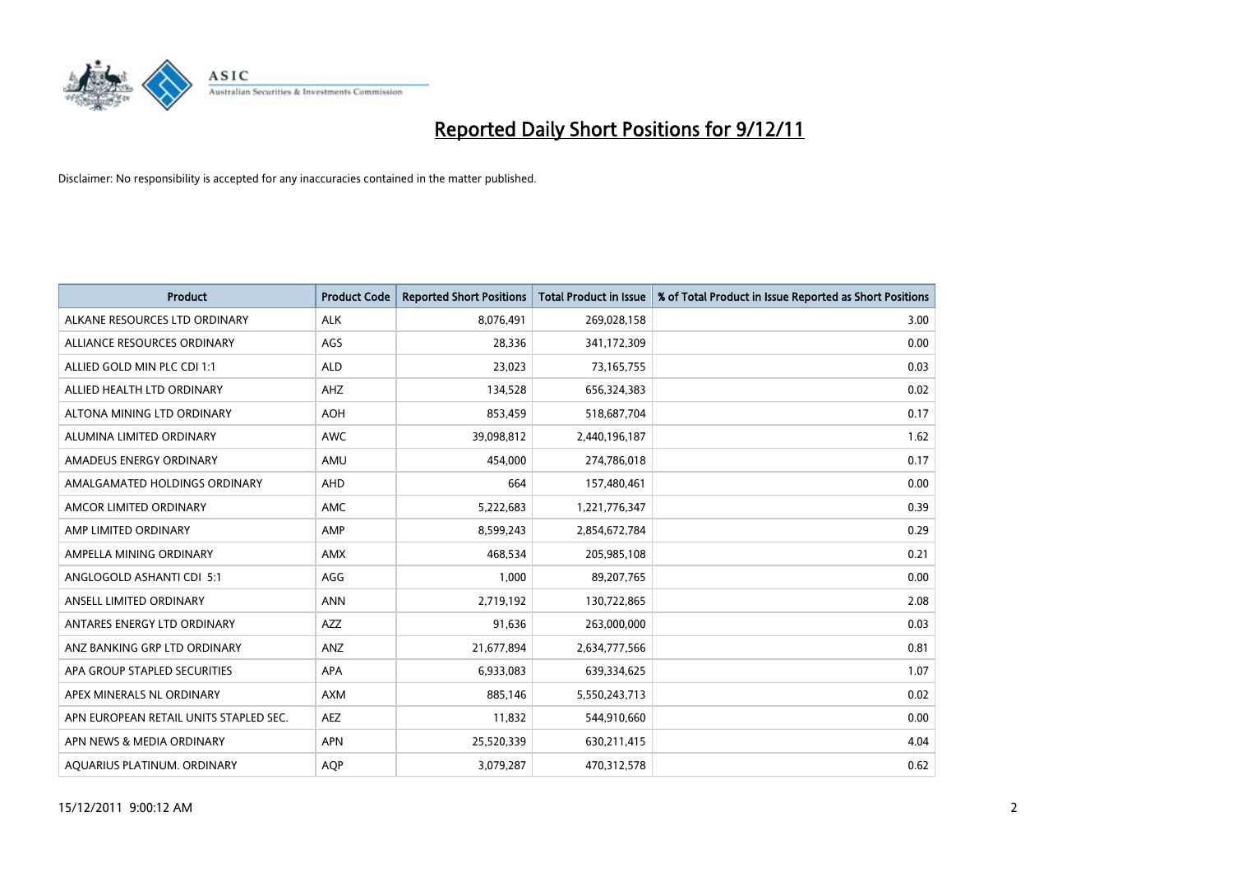

| <b>Product</b>                         | <b>Product Code</b> | <b>Reported Short Positions</b> | <b>Total Product in Issue</b> | % of Total Product in Issue Reported as Short Positions |
|----------------------------------------|---------------------|---------------------------------|-------------------------------|---------------------------------------------------------|
| ALKANE RESOURCES LTD ORDINARY          | <b>ALK</b>          | 8,076,491                       | 269,028,158                   | 3.00                                                    |
| ALLIANCE RESOURCES ORDINARY            | AGS                 | 28,336                          | 341,172,309                   | 0.00                                                    |
| ALLIED GOLD MIN PLC CDI 1:1            | <b>ALD</b>          | 23,023                          | 73,165,755                    | 0.03                                                    |
| ALLIED HEALTH LTD ORDINARY             | <b>AHZ</b>          | 134,528                         | 656,324,383                   | 0.02                                                    |
| ALTONA MINING LTD ORDINARY             | <b>AOH</b>          | 853,459                         | 518,687,704                   | 0.17                                                    |
| ALUMINA LIMITED ORDINARY               | <b>AWC</b>          | 39,098,812                      | 2,440,196,187                 | 1.62                                                    |
| AMADEUS ENERGY ORDINARY                | AMU                 | 454.000                         | 274,786,018                   | 0.17                                                    |
| AMALGAMATED HOLDINGS ORDINARY          | <b>AHD</b>          | 664                             | 157,480,461                   | 0.00                                                    |
| AMCOR LIMITED ORDINARY                 | <b>AMC</b>          | 5,222,683                       | 1,221,776,347                 | 0.39                                                    |
| AMP LIMITED ORDINARY                   | AMP                 | 8,599,243                       | 2,854,672,784                 | 0.29                                                    |
| AMPELLA MINING ORDINARY                | <b>AMX</b>          | 468,534                         | 205,985,108                   | 0.21                                                    |
| ANGLOGOLD ASHANTI CDI 5:1              | AGG                 | 1,000                           | 89,207,765                    | 0.00                                                    |
| ANSELL LIMITED ORDINARY                | <b>ANN</b>          | 2,719,192                       | 130,722,865                   | 2.08                                                    |
| ANTARES ENERGY LTD ORDINARY            | AZZ                 | 91,636                          | 263,000,000                   | 0.03                                                    |
| ANZ BANKING GRP LTD ORDINARY           | ANZ                 | 21,677,894                      | 2,634,777,566                 | 0.81                                                    |
| APA GROUP STAPLED SECURITIES           | APA                 | 6,933,083                       | 639,334,625                   | 1.07                                                    |
| APEX MINERALS NL ORDINARY              | <b>AXM</b>          | 885,146                         | 5,550,243,713                 | 0.02                                                    |
| APN EUROPEAN RETAIL UNITS STAPLED SEC. | <b>AEZ</b>          | 11,832                          | 544,910,660                   | 0.00                                                    |
| APN NEWS & MEDIA ORDINARY              | <b>APN</b>          | 25,520,339                      | 630,211,415                   | 4.04                                                    |
| AQUARIUS PLATINUM. ORDINARY            | <b>AOP</b>          | 3,079,287                       | 470,312,578                   | 0.62                                                    |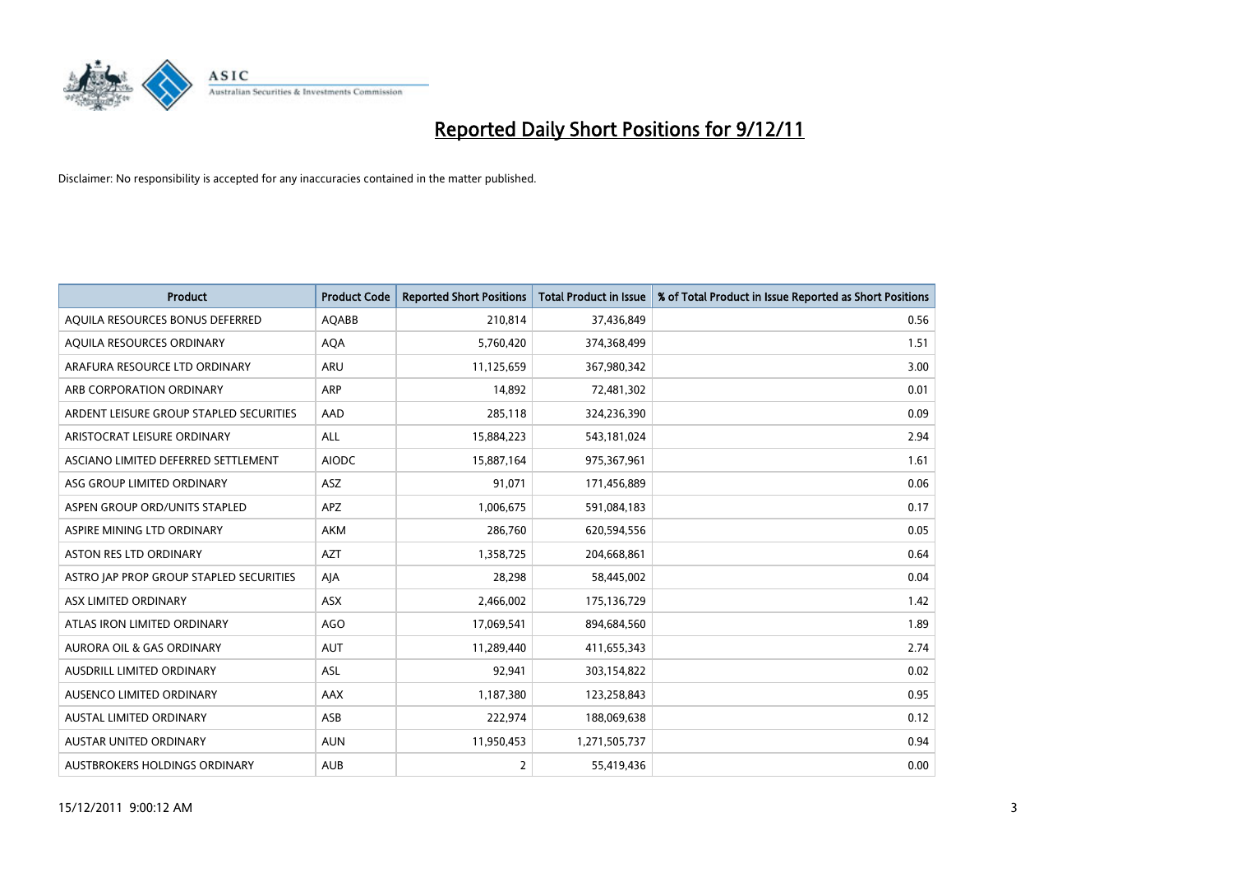

| <b>Product</b>                          | <b>Product Code</b> | <b>Reported Short Positions</b> | <b>Total Product in Issue</b> | % of Total Product in Issue Reported as Short Positions |
|-----------------------------------------|---------------------|---------------------------------|-------------------------------|---------------------------------------------------------|
| AQUILA RESOURCES BONUS DEFERRED         | AQABB               | 210,814                         | 37,436,849                    | 0.56                                                    |
| AQUILA RESOURCES ORDINARY               | <b>AQA</b>          | 5,760,420                       | 374,368,499                   | 1.51                                                    |
| ARAFURA RESOURCE LTD ORDINARY           | <b>ARU</b>          | 11,125,659                      | 367,980,342                   | 3.00                                                    |
| ARB CORPORATION ORDINARY                | <b>ARP</b>          | 14,892                          | 72,481,302                    | 0.01                                                    |
| ARDENT LEISURE GROUP STAPLED SECURITIES | AAD                 | 285,118                         | 324,236,390                   | 0.09                                                    |
| ARISTOCRAT LEISURE ORDINARY             | <b>ALL</b>          | 15,884,223                      | 543,181,024                   | 2.94                                                    |
| ASCIANO LIMITED DEFERRED SETTLEMENT     | <b>AIODC</b>        | 15,887,164                      | 975,367,961                   | 1.61                                                    |
| ASG GROUP LIMITED ORDINARY              | ASZ                 | 91,071                          | 171,456,889                   | 0.06                                                    |
| ASPEN GROUP ORD/UNITS STAPLED           | <b>APZ</b>          | 1,006,675                       | 591,084,183                   | 0.17                                                    |
| ASPIRE MINING LTD ORDINARY              | <b>AKM</b>          | 286,760                         | 620,594,556                   | 0.05                                                    |
| ASTON RES LTD ORDINARY                  | <b>AZT</b>          | 1,358,725                       | 204,668,861                   | 0.64                                                    |
| ASTRO JAP PROP GROUP STAPLED SECURITIES | AJA                 | 28,298                          | 58,445,002                    | 0.04                                                    |
| ASX LIMITED ORDINARY                    | ASX                 | 2,466,002                       | 175,136,729                   | 1.42                                                    |
| ATLAS IRON LIMITED ORDINARY             | <b>AGO</b>          | 17,069,541                      | 894,684,560                   | 1.89                                                    |
| <b>AURORA OIL &amp; GAS ORDINARY</b>    | <b>AUT</b>          | 11,289,440                      | 411,655,343                   | 2.74                                                    |
| AUSDRILL LIMITED ORDINARY               | ASL                 | 92,941                          | 303,154,822                   | 0.02                                                    |
| AUSENCO LIMITED ORDINARY                | AAX                 | 1,187,380                       | 123,258,843                   | 0.95                                                    |
| AUSTAL LIMITED ORDINARY                 | ASB                 | 222,974                         | 188,069,638                   | 0.12                                                    |
| <b>AUSTAR UNITED ORDINARY</b>           | <b>AUN</b>          | 11,950,453                      | 1,271,505,737                 | 0.94                                                    |
| AUSTBROKERS HOLDINGS ORDINARY           | <b>AUB</b>          | 2                               | 55,419,436                    | 0.00                                                    |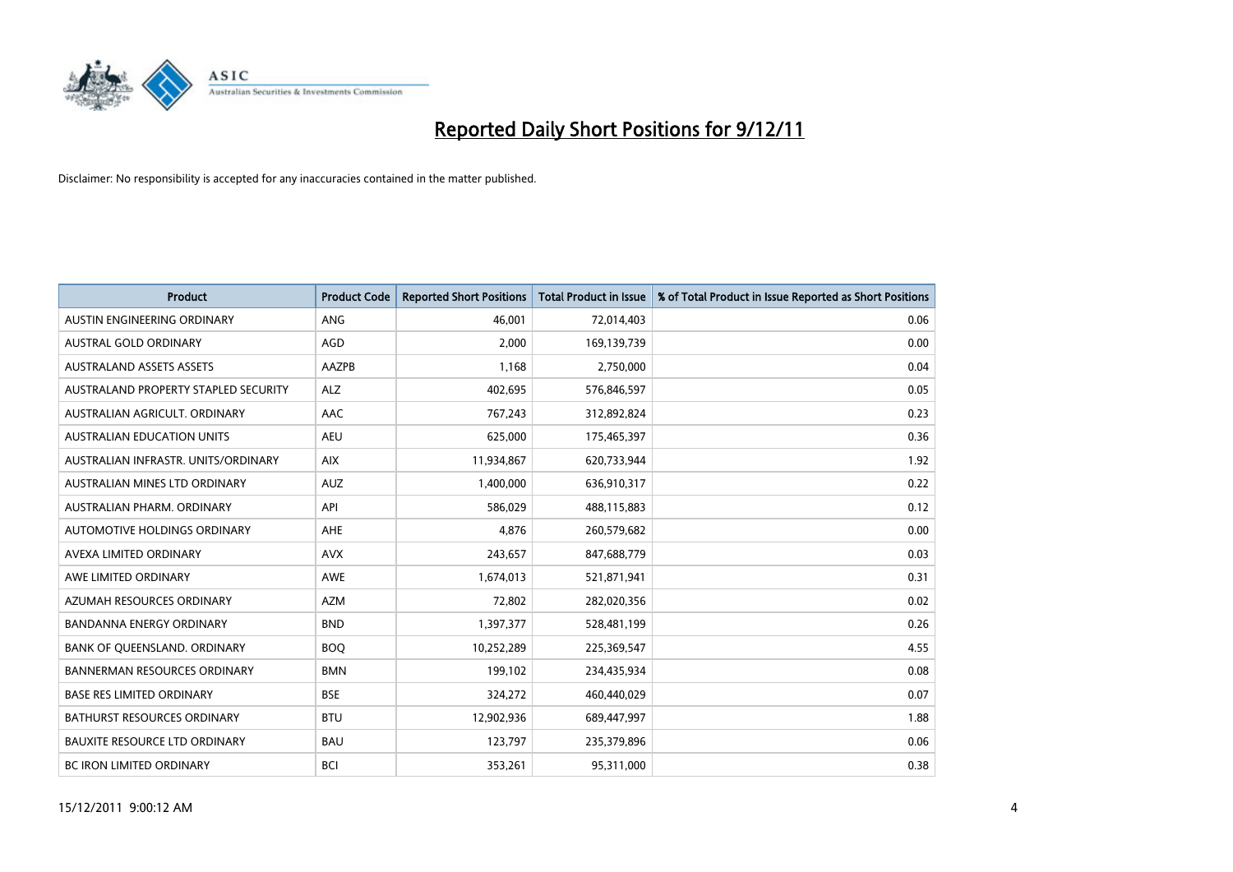

| <b>Product</b>                       | <b>Product Code</b> | <b>Reported Short Positions</b> | Total Product in Issue | % of Total Product in Issue Reported as Short Positions |
|--------------------------------------|---------------------|---------------------------------|------------------------|---------------------------------------------------------|
| AUSTIN ENGINEERING ORDINARY          | ANG                 | 46.001                          | 72,014,403             | 0.06                                                    |
| AUSTRAL GOLD ORDINARY                | AGD                 | 2,000                           | 169,139,739            | 0.00                                                    |
| <b>AUSTRALAND ASSETS ASSETS</b>      | AAZPB               | 1,168                           | 2,750,000              | 0.04                                                    |
| AUSTRALAND PROPERTY STAPLED SECURITY | <b>ALZ</b>          | 402,695                         | 576,846,597            | 0.05                                                    |
| AUSTRALIAN AGRICULT, ORDINARY        | AAC                 | 767,243                         | 312,892,824            | 0.23                                                    |
| <b>AUSTRALIAN EDUCATION UNITS</b>    | <b>AEU</b>          | 625,000                         | 175,465,397            | 0.36                                                    |
| AUSTRALIAN INFRASTR, UNITS/ORDINARY  | <b>AIX</b>          | 11,934,867                      | 620,733,944            | 1.92                                                    |
| <b>AUSTRALIAN MINES LTD ORDINARY</b> | <b>AUZ</b>          | 1,400,000                       | 636,910,317            | 0.22                                                    |
| AUSTRALIAN PHARM, ORDINARY           | API                 | 586,029                         | 488,115,883            | 0.12                                                    |
| AUTOMOTIVE HOLDINGS ORDINARY         | AHE                 | 4,876                           | 260,579,682            | 0.00                                                    |
| AVEXA LIMITED ORDINARY               | <b>AVX</b>          | 243,657                         | 847,688,779            | 0.03                                                    |
| AWE LIMITED ORDINARY                 | AWE                 | 1,674,013                       | 521,871,941            | 0.31                                                    |
| AZUMAH RESOURCES ORDINARY            | <b>AZM</b>          | 72,802                          | 282,020,356            | 0.02                                                    |
| <b>BANDANNA ENERGY ORDINARY</b>      | <b>BND</b>          | 1,397,377                       | 528,481,199            | 0.26                                                    |
| BANK OF QUEENSLAND. ORDINARY         | <b>BOO</b>          | 10,252,289                      | 225,369,547            | 4.55                                                    |
| <b>BANNERMAN RESOURCES ORDINARY</b>  | <b>BMN</b>          | 199,102                         | 234,435,934            | 0.08                                                    |
| <b>BASE RES LIMITED ORDINARY</b>     | <b>BSE</b>          | 324,272                         | 460,440,029            | 0.07                                                    |
| BATHURST RESOURCES ORDINARY          | <b>BTU</b>          | 12,902,936                      | 689,447,997            | 1.88                                                    |
| <b>BAUXITE RESOURCE LTD ORDINARY</b> | <b>BAU</b>          | 123,797                         | 235,379,896            | 0.06                                                    |
| BC IRON LIMITED ORDINARY             | <b>BCI</b>          | 353,261                         | 95,311,000             | 0.38                                                    |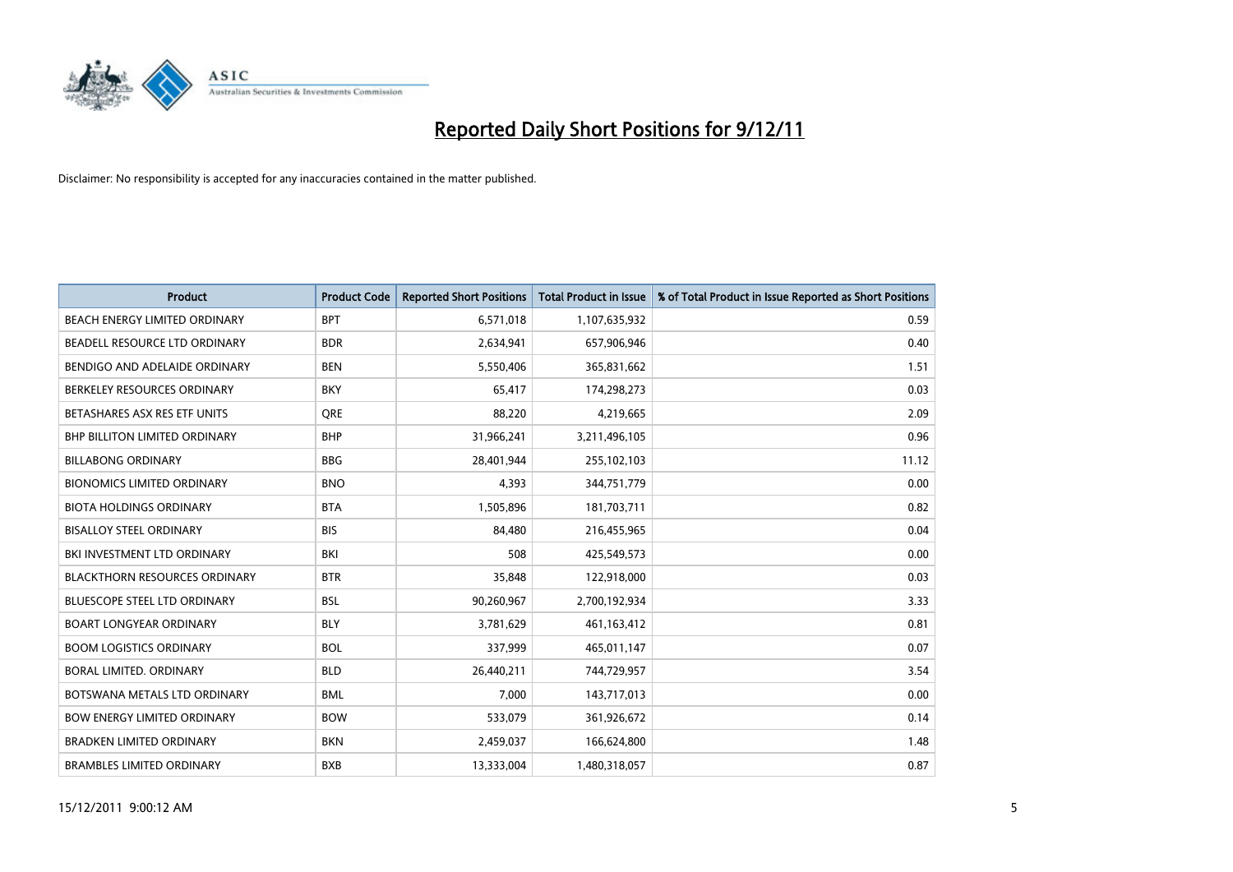

| <b>Product</b>                       | <b>Product Code</b> | <b>Reported Short Positions</b> | <b>Total Product in Issue</b> | % of Total Product in Issue Reported as Short Positions |
|--------------------------------------|---------------------|---------------------------------|-------------------------------|---------------------------------------------------------|
| BEACH ENERGY LIMITED ORDINARY        | <b>BPT</b>          | 6,571,018                       | 1,107,635,932                 | 0.59                                                    |
| BEADELL RESOURCE LTD ORDINARY        | <b>BDR</b>          | 2,634,941                       | 657,906,946                   | 0.40                                                    |
| BENDIGO AND ADELAIDE ORDINARY        | <b>BEN</b>          | 5,550,406                       | 365,831,662                   | 1.51                                                    |
| BERKELEY RESOURCES ORDINARY          | <b>BKY</b>          | 65,417                          | 174,298,273                   | 0.03                                                    |
| BETASHARES ASX RES ETF UNITS         | <b>ORE</b>          | 88.220                          | 4,219,665                     | 2.09                                                    |
| <b>BHP BILLITON LIMITED ORDINARY</b> | <b>BHP</b>          | 31,966,241                      | 3,211,496,105                 | 0.96                                                    |
| <b>BILLABONG ORDINARY</b>            | <b>BBG</b>          | 28.401.944                      | 255,102,103                   | 11.12                                                   |
| <b>BIONOMICS LIMITED ORDINARY</b>    | <b>BNO</b>          | 4,393                           | 344,751,779                   | 0.00                                                    |
| <b>BIOTA HOLDINGS ORDINARY</b>       | <b>BTA</b>          | 1,505,896                       | 181,703,711                   | 0.82                                                    |
| <b>BISALLOY STEEL ORDINARY</b>       | <b>BIS</b>          | 84.480                          | 216,455,965                   | 0.04                                                    |
| BKI INVESTMENT LTD ORDINARY          | BKI                 | 508                             | 425,549,573                   | 0.00                                                    |
| <b>BLACKTHORN RESOURCES ORDINARY</b> | <b>BTR</b>          | 35,848                          | 122,918,000                   | 0.03                                                    |
| <b>BLUESCOPE STEEL LTD ORDINARY</b>  | <b>BSL</b>          | 90,260,967                      | 2,700,192,934                 | 3.33                                                    |
| <b>BOART LONGYEAR ORDINARY</b>       | <b>BLY</b>          | 3,781,629                       | 461,163,412                   | 0.81                                                    |
| <b>BOOM LOGISTICS ORDINARY</b>       | <b>BOL</b>          | 337,999                         | 465,011,147                   | 0.07                                                    |
| BORAL LIMITED, ORDINARY              | <b>BLD</b>          | 26,440,211                      | 744,729,957                   | 3.54                                                    |
| BOTSWANA METALS LTD ORDINARY         | <b>BML</b>          | 7,000                           | 143,717,013                   | 0.00                                                    |
| <b>BOW ENERGY LIMITED ORDINARY</b>   | <b>BOW</b>          | 533,079                         | 361,926,672                   | 0.14                                                    |
| <b>BRADKEN LIMITED ORDINARY</b>      | <b>BKN</b>          | 2,459,037                       | 166,624,800                   | 1.48                                                    |
| <b>BRAMBLES LIMITED ORDINARY</b>     | <b>BXB</b>          | 13,333,004                      | 1,480,318,057                 | 0.87                                                    |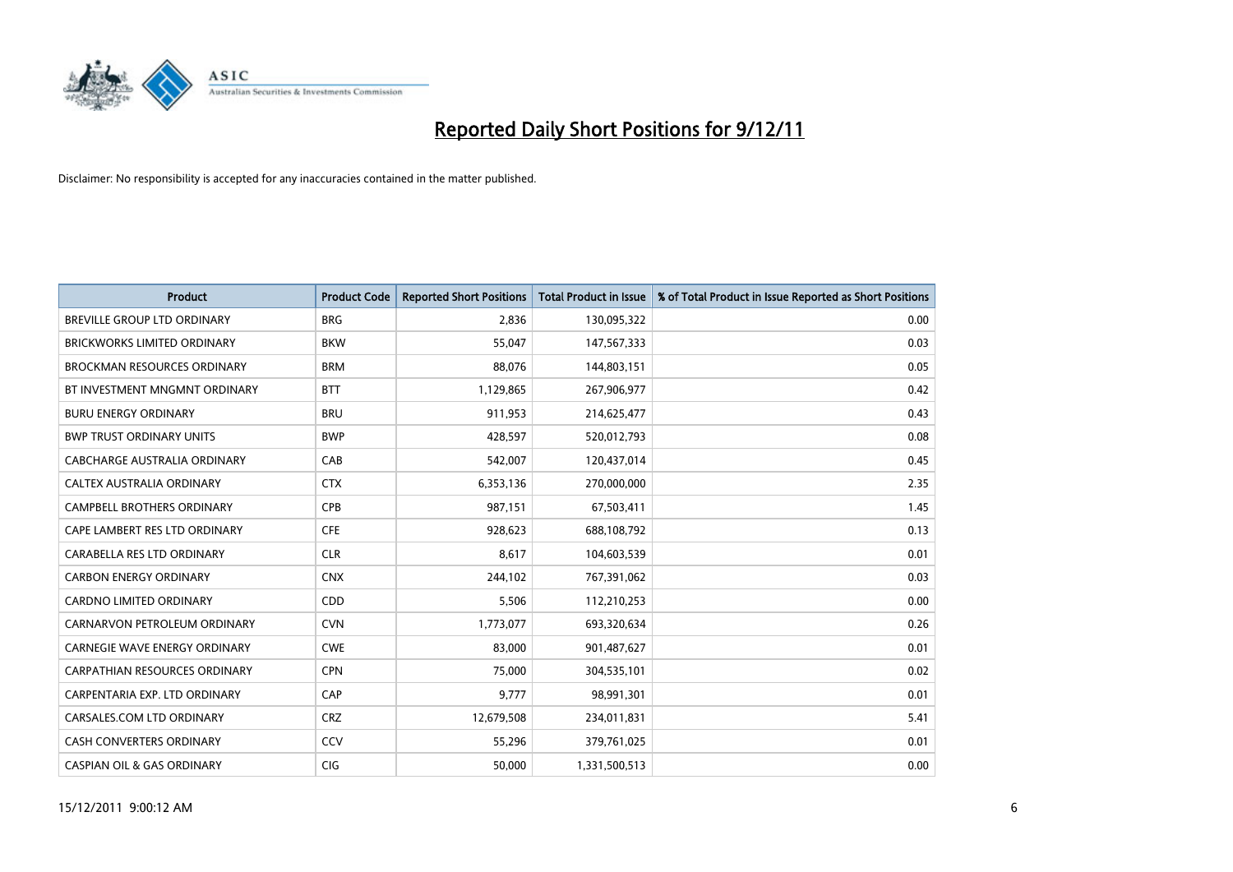

| <b>Product</b>                        | <b>Product Code</b> | <b>Reported Short Positions</b> | <b>Total Product in Issue</b> | % of Total Product in Issue Reported as Short Positions |
|---------------------------------------|---------------------|---------------------------------|-------------------------------|---------------------------------------------------------|
| <b>BREVILLE GROUP LTD ORDINARY</b>    | <b>BRG</b>          | 2,836                           | 130,095,322                   | 0.00                                                    |
| <b>BRICKWORKS LIMITED ORDINARY</b>    | <b>BKW</b>          | 55,047                          | 147,567,333                   | 0.03                                                    |
| <b>BROCKMAN RESOURCES ORDINARY</b>    | <b>BRM</b>          | 88,076                          | 144,803,151                   | 0.05                                                    |
| BT INVESTMENT MNGMNT ORDINARY         | <b>BTT</b>          | 1,129,865                       | 267,906,977                   | 0.42                                                    |
| <b>BURU ENERGY ORDINARY</b>           | <b>BRU</b>          | 911,953                         | 214,625,477                   | 0.43                                                    |
| <b>BWP TRUST ORDINARY UNITS</b>       | <b>BWP</b>          | 428,597                         | 520,012,793                   | 0.08                                                    |
| CABCHARGE AUSTRALIA ORDINARY          | CAB                 | 542,007                         | 120,437,014                   | 0.45                                                    |
| <b>CALTEX AUSTRALIA ORDINARY</b>      | <b>CTX</b>          | 6,353,136                       | 270,000,000                   | 2.35                                                    |
| CAMPBELL BROTHERS ORDINARY            | <b>CPB</b>          | 987,151                         | 67,503,411                    | 1.45                                                    |
| CAPE LAMBERT RES LTD ORDINARY         | <b>CFE</b>          | 928,623                         | 688,108,792                   | 0.13                                                    |
| CARABELLA RES LTD ORDINARY            | <b>CLR</b>          | 8,617                           | 104,603,539                   | 0.01                                                    |
| <b>CARBON ENERGY ORDINARY</b>         | <b>CNX</b>          | 244,102                         | 767,391,062                   | 0.03                                                    |
| <b>CARDNO LIMITED ORDINARY</b>        | <b>CDD</b>          | 5,506                           | 112,210,253                   | 0.00                                                    |
| CARNARVON PETROLEUM ORDINARY          | <b>CVN</b>          | 1,773,077                       | 693,320,634                   | 0.26                                                    |
| <b>CARNEGIE WAVE ENERGY ORDINARY</b>  | <b>CWE</b>          | 83,000                          | 901,487,627                   | 0.01                                                    |
| <b>CARPATHIAN RESOURCES ORDINARY</b>  | <b>CPN</b>          | 75,000                          | 304,535,101                   | 0.02                                                    |
| CARPENTARIA EXP. LTD ORDINARY         | CAP                 | 9,777                           | 98,991,301                    | 0.01                                                    |
| CARSALES.COM LTD ORDINARY             | <b>CRZ</b>          | 12,679,508                      | 234,011,831                   | 5.41                                                    |
| <b>CASH CONVERTERS ORDINARY</b>       | CCV                 | 55,296                          | 379,761,025                   | 0.01                                                    |
| <b>CASPIAN OIL &amp; GAS ORDINARY</b> | <b>CIG</b>          | 50,000                          | 1,331,500,513                 | 0.00                                                    |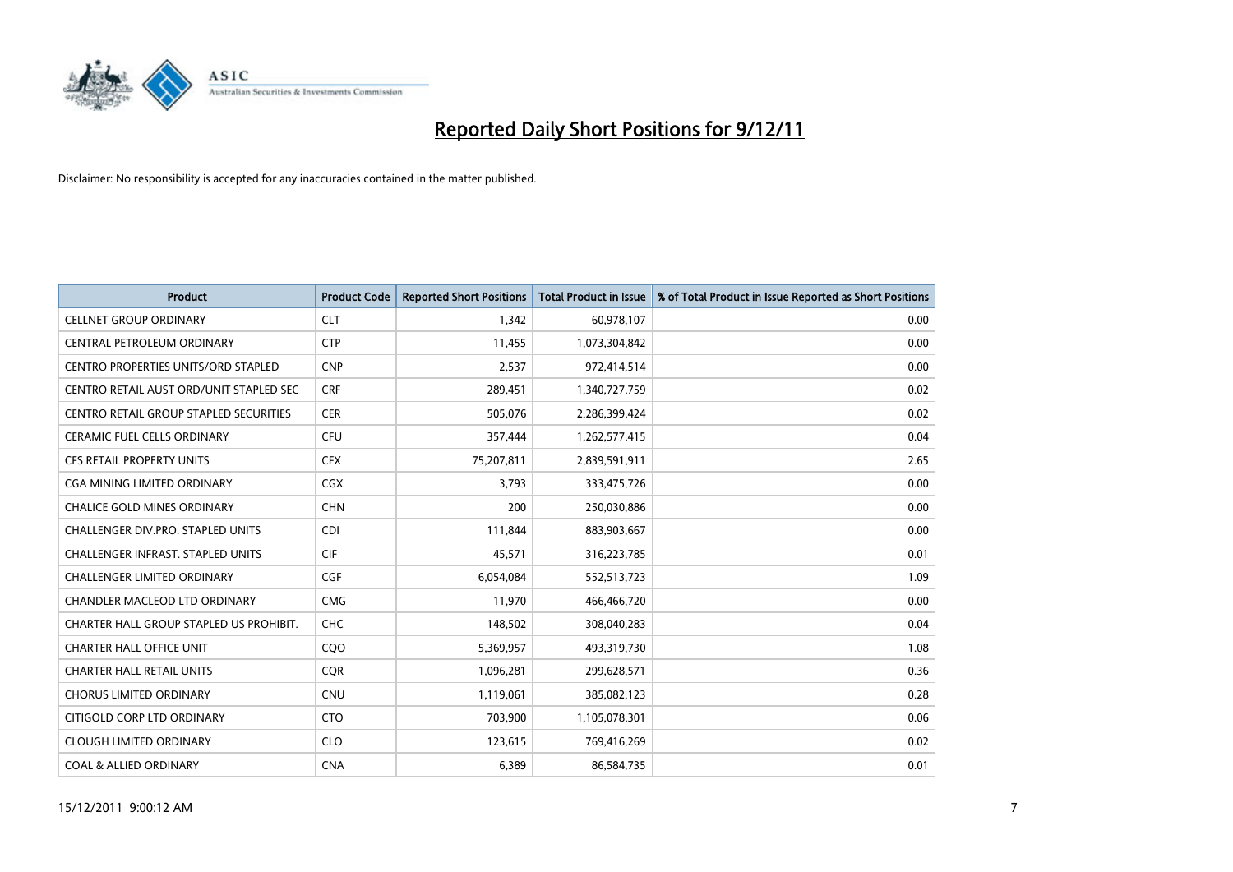

| <b>Product</b>                             | <b>Product Code</b> | <b>Reported Short Positions</b> | <b>Total Product in Issue</b> | % of Total Product in Issue Reported as Short Positions |
|--------------------------------------------|---------------------|---------------------------------|-------------------------------|---------------------------------------------------------|
| <b>CELLNET GROUP ORDINARY</b>              | <b>CLT</b>          | 1,342                           | 60,978,107                    | 0.00                                                    |
| CENTRAL PETROLEUM ORDINARY                 | <b>CTP</b>          | 11,455                          | 1,073,304,842                 | 0.00                                                    |
| <b>CENTRO PROPERTIES UNITS/ORD STAPLED</b> | <b>CNP</b>          | 2,537                           | 972,414,514                   | 0.00                                                    |
| CENTRO RETAIL AUST ORD/UNIT STAPLED SEC    | <b>CRF</b>          | 289,451                         | 1,340,727,759                 | 0.02                                                    |
| CENTRO RETAIL GROUP STAPLED SECURITIES     | <b>CER</b>          | 505,076                         | 2,286,399,424                 | 0.02                                                    |
| <b>CERAMIC FUEL CELLS ORDINARY</b>         | <b>CFU</b>          | 357,444                         | 1,262,577,415                 | 0.04                                                    |
| <b>CFS RETAIL PROPERTY UNITS</b>           | <b>CFX</b>          | 75,207,811                      | 2,839,591,911                 | 2.65                                                    |
| CGA MINING LIMITED ORDINARY                | <b>CGX</b>          | 3,793                           | 333,475,726                   | 0.00                                                    |
| CHALICE GOLD MINES ORDINARY                | <b>CHN</b>          | 200                             | 250,030,886                   | 0.00                                                    |
| CHALLENGER DIV.PRO. STAPLED UNITS          | <b>CDI</b>          | 111,844                         | 883,903,667                   | 0.00                                                    |
| CHALLENGER INFRAST. STAPLED UNITS          | <b>CIF</b>          | 45,571                          | 316,223,785                   | 0.01                                                    |
| <b>CHALLENGER LIMITED ORDINARY</b>         | <b>CGF</b>          | 6,054,084                       | 552,513,723                   | 1.09                                                    |
| <b>CHANDLER MACLEOD LTD ORDINARY</b>       | <b>CMG</b>          | 11,970                          | 466,466,720                   | 0.00                                                    |
| CHARTER HALL GROUP STAPLED US PROHIBIT.    | <b>CHC</b>          | 148,502                         | 308,040,283                   | 0.04                                                    |
| <b>CHARTER HALL OFFICE UNIT</b>            | COO                 | 5,369,957                       | 493,319,730                   | 1.08                                                    |
| <b>CHARTER HALL RETAIL UNITS</b>           | <b>COR</b>          | 1,096,281                       | 299,628,571                   | 0.36                                                    |
| <b>CHORUS LIMITED ORDINARY</b>             | <b>CNU</b>          | 1,119,061                       | 385,082,123                   | 0.28                                                    |
| CITIGOLD CORP LTD ORDINARY                 | <b>CTO</b>          | 703,900                         | 1,105,078,301                 | 0.06                                                    |
| <b>CLOUGH LIMITED ORDINARY</b>             | <b>CLO</b>          | 123,615                         | 769,416,269                   | 0.02                                                    |
| <b>COAL &amp; ALLIED ORDINARY</b>          | <b>CNA</b>          | 6,389                           | 86,584,735                    | 0.01                                                    |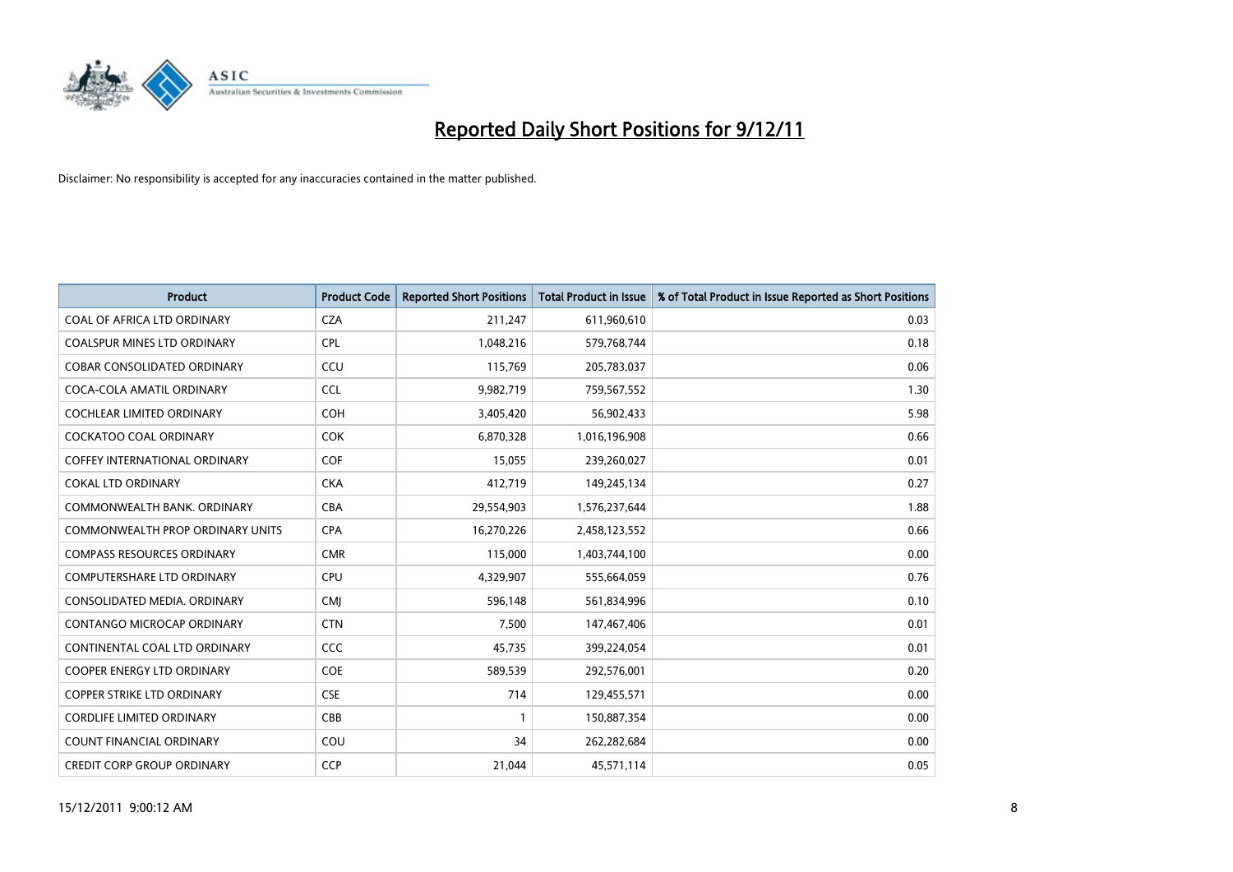

| <b>Product</b>                       | <b>Product Code</b> | <b>Reported Short Positions</b> | <b>Total Product in Issue</b> | % of Total Product in Issue Reported as Short Positions |
|--------------------------------------|---------------------|---------------------------------|-------------------------------|---------------------------------------------------------|
| COAL OF AFRICA LTD ORDINARY          | <b>CZA</b>          | 211,247                         | 611,960,610                   | 0.03                                                    |
| COALSPUR MINES LTD ORDINARY          | <b>CPL</b>          | 1,048,216                       | 579,768,744                   | 0.18                                                    |
| <b>COBAR CONSOLIDATED ORDINARY</b>   | CCU                 | 115,769                         | 205,783,037                   | 0.06                                                    |
| COCA-COLA AMATIL ORDINARY            | <b>CCL</b>          | 9,982,719                       | 759,567,552                   | 1.30                                                    |
| <b>COCHLEAR LIMITED ORDINARY</b>     | <b>COH</b>          | 3,405,420                       | 56,902,433                    | 5.98                                                    |
| <b>COCKATOO COAL ORDINARY</b>        | <b>COK</b>          | 6,870,328                       | 1,016,196,908                 | 0.66                                                    |
| <b>COFFEY INTERNATIONAL ORDINARY</b> | <b>COF</b>          | 15,055                          | 239,260,027                   | 0.01                                                    |
| <b>COKAL LTD ORDINARY</b>            | <b>CKA</b>          | 412,719                         | 149,245,134                   | 0.27                                                    |
| COMMONWEALTH BANK, ORDINARY          | <b>CBA</b>          | 29,554,903                      | 1,576,237,644                 | 1.88                                                    |
| COMMONWEALTH PROP ORDINARY UNITS     | <b>CPA</b>          | 16,270,226                      | 2,458,123,552                 | 0.66                                                    |
| <b>COMPASS RESOURCES ORDINARY</b>    | <b>CMR</b>          | 115,000                         | 1,403,744,100                 | 0.00                                                    |
| COMPUTERSHARE LTD ORDINARY           | <b>CPU</b>          | 4,329,907                       | 555,664,059                   | 0.76                                                    |
| CONSOLIDATED MEDIA, ORDINARY         | <b>CMI</b>          | 596,148                         | 561,834,996                   | 0.10                                                    |
| <b>CONTANGO MICROCAP ORDINARY</b>    | <b>CTN</b>          | 7,500                           | 147,467,406                   | 0.01                                                    |
| CONTINENTAL COAL LTD ORDINARY        | <b>CCC</b>          | 45,735                          | 399,224,054                   | 0.01                                                    |
| <b>COOPER ENERGY LTD ORDINARY</b>    | <b>COE</b>          | 589,539                         | 292,576,001                   | 0.20                                                    |
| <b>COPPER STRIKE LTD ORDINARY</b>    | <b>CSE</b>          | 714                             | 129,455,571                   | 0.00                                                    |
| <b>CORDLIFE LIMITED ORDINARY</b>     | CBB                 |                                 | 150,887,354                   | 0.00                                                    |
| <b>COUNT FINANCIAL ORDINARY</b>      | COU                 | 34                              | 262,282,684                   | 0.00                                                    |
| <b>CREDIT CORP GROUP ORDINARY</b>    | <b>CCP</b>          | 21,044                          | 45,571,114                    | 0.05                                                    |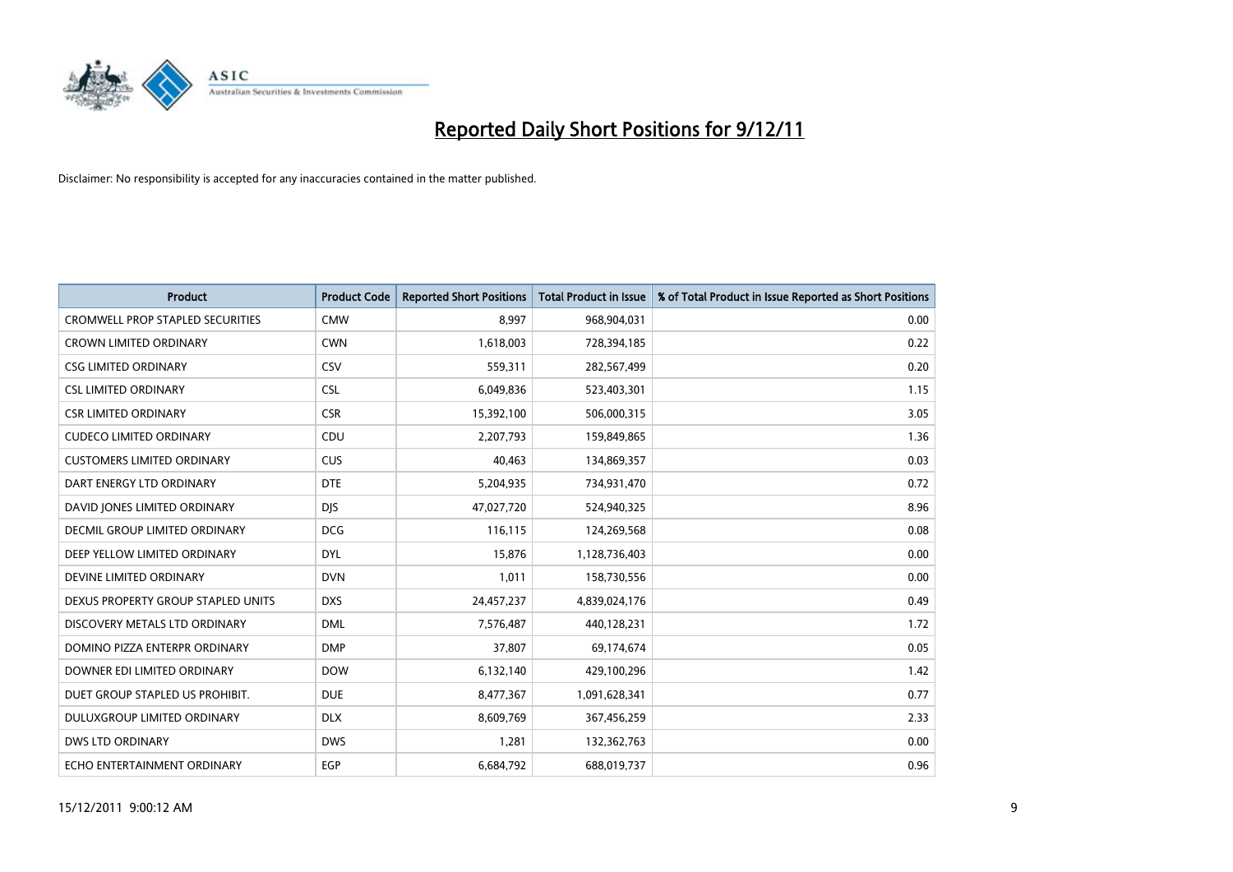

| <b>Product</b>                          | <b>Product Code</b> | <b>Reported Short Positions</b> | <b>Total Product in Issue</b> | % of Total Product in Issue Reported as Short Positions |
|-----------------------------------------|---------------------|---------------------------------|-------------------------------|---------------------------------------------------------|
| <b>CROMWELL PROP STAPLED SECURITIES</b> | <b>CMW</b>          | 8,997                           | 968,904,031                   | 0.00                                                    |
| <b>CROWN LIMITED ORDINARY</b>           | <b>CWN</b>          | 1,618,003                       | 728,394,185                   | 0.22                                                    |
| <b>CSG LIMITED ORDINARY</b>             | CSV                 | 559,311                         | 282,567,499                   | 0.20                                                    |
| <b>CSL LIMITED ORDINARY</b>             | <b>CSL</b>          | 6,049,836                       | 523,403,301                   | 1.15                                                    |
| <b>CSR LIMITED ORDINARY</b>             | <b>CSR</b>          | 15,392,100                      | 506,000,315                   | 3.05                                                    |
| <b>CUDECO LIMITED ORDINARY</b>          | CDU                 | 2,207,793                       | 159,849,865                   | 1.36                                                    |
| <b>CUSTOMERS LIMITED ORDINARY</b>       | CUS                 | 40.463                          | 134,869,357                   | 0.03                                                    |
| DART ENERGY LTD ORDINARY                | <b>DTE</b>          | 5,204,935                       | 734,931,470                   | 0.72                                                    |
| DAVID JONES LIMITED ORDINARY            | <b>DIS</b>          | 47,027,720                      | 524,940,325                   | 8.96                                                    |
| DECMIL GROUP LIMITED ORDINARY           | <b>DCG</b>          | 116,115                         | 124,269,568                   | 0.08                                                    |
| DEEP YELLOW LIMITED ORDINARY            | <b>DYL</b>          | 15,876                          | 1,128,736,403                 | 0.00                                                    |
| DEVINE LIMITED ORDINARY                 | <b>DVN</b>          | 1,011                           | 158,730,556                   | 0.00                                                    |
| DEXUS PROPERTY GROUP STAPLED UNITS      | <b>DXS</b>          | 24,457,237                      | 4,839,024,176                 | 0.49                                                    |
| DISCOVERY METALS LTD ORDINARY           | <b>DML</b>          | 7,576,487                       | 440,128,231                   | 1.72                                                    |
| DOMINO PIZZA ENTERPR ORDINARY           | <b>DMP</b>          | 37,807                          | 69,174,674                    | 0.05                                                    |
| DOWNER EDI LIMITED ORDINARY             | <b>DOW</b>          | 6,132,140                       | 429,100,296                   | 1.42                                                    |
| DUET GROUP STAPLED US PROHIBIT.         | <b>DUE</b>          | 8,477,367                       | 1,091,628,341                 | 0.77                                                    |
| DULUXGROUP LIMITED ORDINARY             | <b>DLX</b>          | 8,609,769                       | 367,456,259                   | 2.33                                                    |
| <b>DWS LTD ORDINARY</b>                 | <b>DWS</b>          | 1,281                           | 132,362,763                   | 0.00                                                    |
| ECHO ENTERTAINMENT ORDINARY             | EGP                 | 6,684,792                       | 688,019,737                   | 0.96                                                    |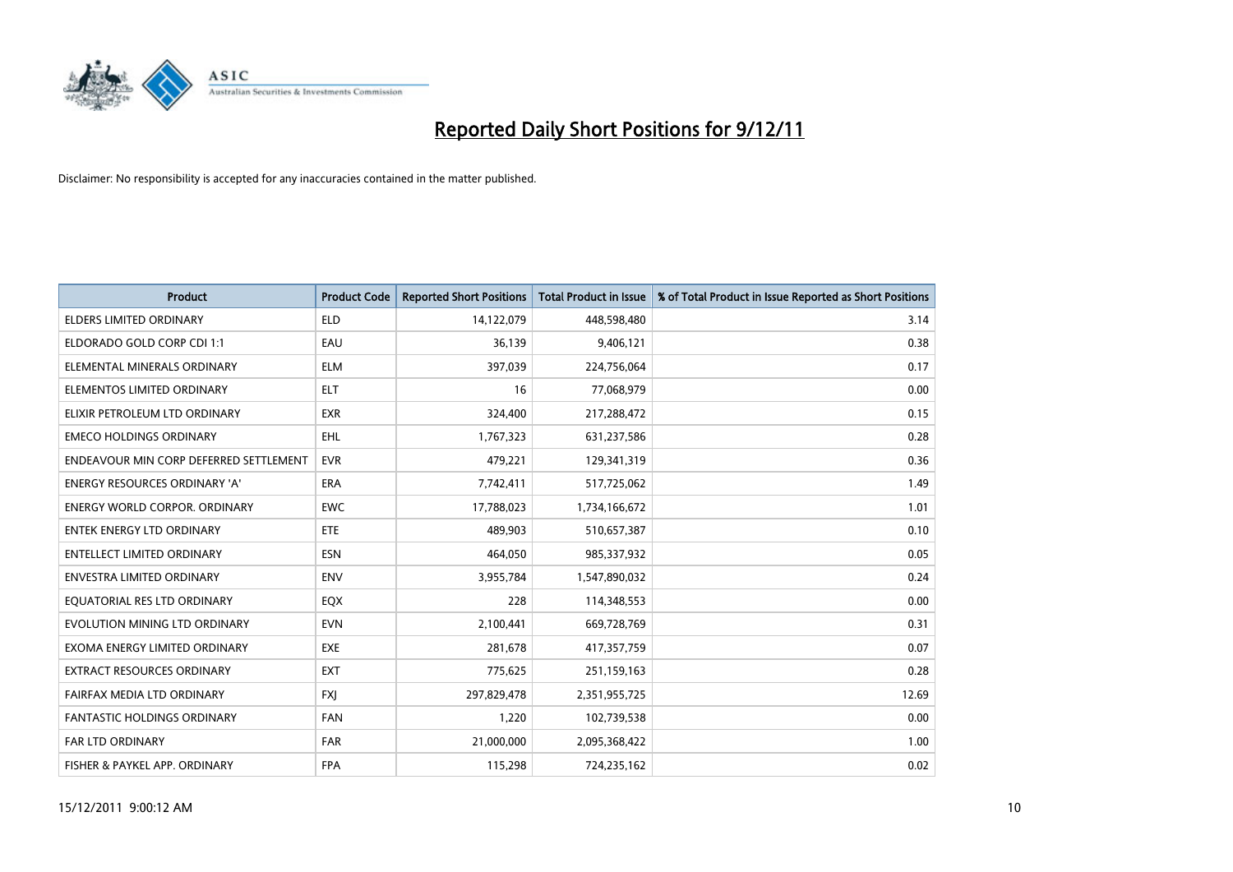

| <b>Product</b>                         | <b>Product Code</b> | <b>Reported Short Positions</b> | <b>Total Product in Issue</b> | % of Total Product in Issue Reported as Short Positions |
|----------------------------------------|---------------------|---------------------------------|-------------------------------|---------------------------------------------------------|
| <b>ELDERS LIMITED ORDINARY</b>         | <b>ELD</b>          | 14,122,079                      | 448,598,480                   | 3.14                                                    |
| ELDORADO GOLD CORP CDI 1:1             | EAU                 | 36,139                          | 9,406,121                     | 0.38                                                    |
| ELEMENTAL MINERALS ORDINARY            | <b>ELM</b>          | 397,039                         | 224,756,064                   | 0.17                                                    |
| ELEMENTOS LIMITED ORDINARY             | <b>ELT</b>          | 16                              | 77,068,979                    | 0.00                                                    |
| ELIXIR PETROLEUM LTD ORDINARY          | <b>EXR</b>          | 324,400                         | 217,288,472                   | 0.15                                                    |
| <b>EMECO HOLDINGS ORDINARY</b>         | <b>EHL</b>          | 1,767,323                       | 631,237,586                   | 0.28                                                    |
| ENDEAVOUR MIN CORP DEFERRED SETTLEMENT | <b>EVR</b>          | 479,221                         | 129,341,319                   | 0.36                                                    |
| ENERGY RESOURCES ORDINARY 'A'          | <b>ERA</b>          | 7,742,411                       | 517,725,062                   | 1.49                                                    |
| <b>ENERGY WORLD CORPOR, ORDINARY</b>   | <b>EWC</b>          | 17,788,023                      | 1,734,166,672                 | 1.01                                                    |
| <b>ENTEK ENERGY LTD ORDINARY</b>       | <b>ETE</b>          | 489,903                         | 510,657,387                   | 0.10                                                    |
| ENTELLECT LIMITED ORDINARY             | <b>ESN</b>          | 464,050                         | 985,337,932                   | 0.05                                                    |
| <b>ENVESTRA LIMITED ORDINARY</b>       | <b>ENV</b>          | 3,955,784                       | 1,547,890,032                 | 0.24                                                    |
| EQUATORIAL RES LTD ORDINARY            | <b>EQX</b>          | 228                             | 114,348,553                   | 0.00                                                    |
| EVOLUTION MINING LTD ORDINARY          | <b>EVN</b>          | 2,100,441                       | 669,728,769                   | 0.31                                                    |
| EXOMA ENERGY LIMITED ORDINARY          | <b>EXE</b>          | 281,678                         | 417,357,759                   | 0.07                                                    |
| EXTRACT RESOURCES ORDINARY             | <b>EXT</b>          | 775,625                         | 251,159,163                   | 0.28                                                    |
| FAIRFAX MEDIA LTD ORDINARY             | <b>FXI</b>          | 297,829,478                     | 2,351,955,725                 | 12.69                                                   |
| <b>FANTASTIC HOLDINGS ORDINARY</b>     | <b>FAN</b>          | 1,220                           | 102,739,538                   | 0.00                                                    |
| FAR LTD ORDINARY                       | <b>FAR</b>          | 21,000,000                      | 2,095,368,422                 | 1.00                                                    |
| FISHER & PAYKEL APP. ORDINARY          | <b>FPA</b>          | 115,298                         | 724,235,162                   | 0.02                                                    |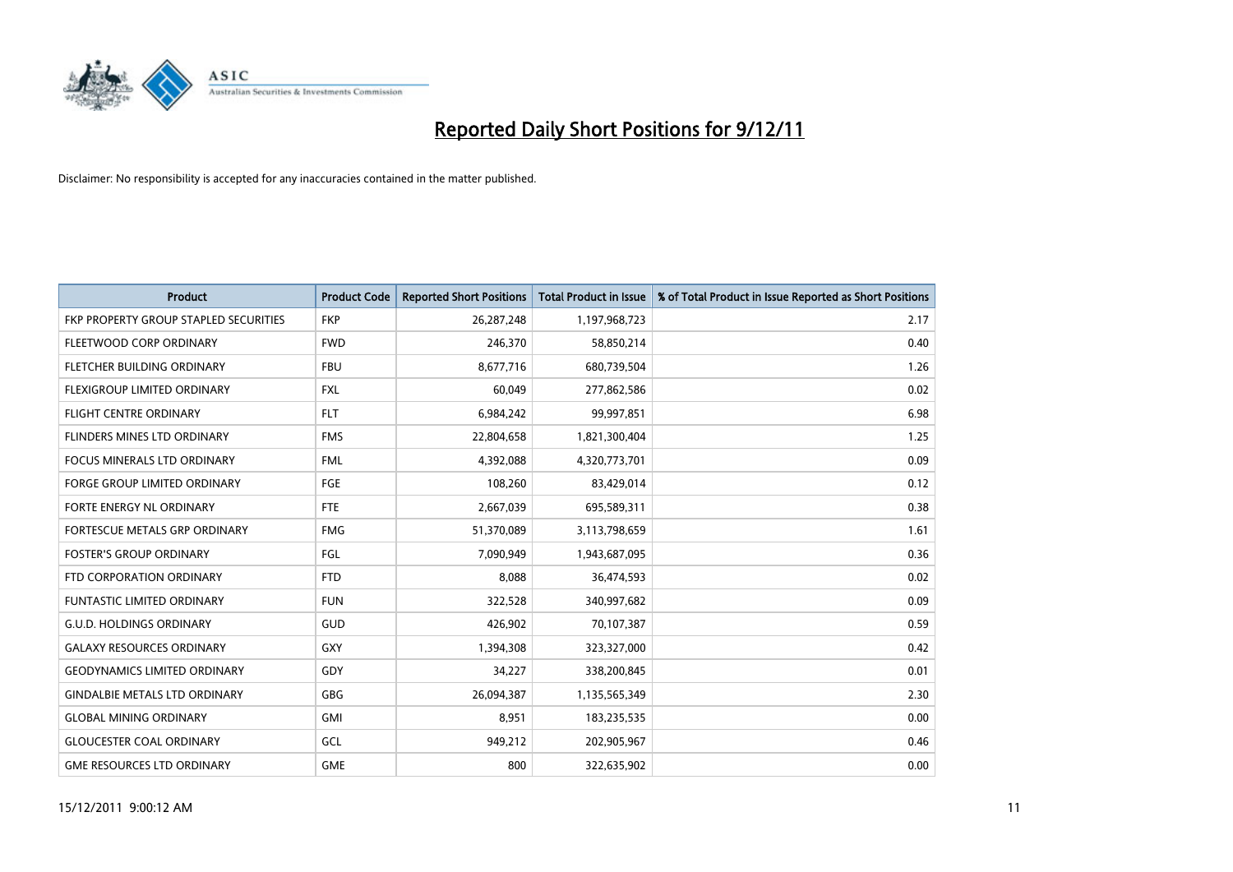

| <b>Product</b>                        | <b>Product Code</b> | <b>Reported Short Positions</b> | <b>Total Product in Issue</b> | % of Total Product in Issue Reported as Short Positions |
|---------------------------------------|---------------------|---------------------------------|-------------------------------|---------------------------------------------------------|
| FKP PROPERTY GROUP STAPLED SECURITIES | <b>FKP</b>          | 26,287,248                      | 1,197,968,723                 | 2.17                                                    |
| FLEETWOOD CORP ORDINARY               | <b>FWD</b>          | 246,370                         | 58,850,214                    | 0.40                                                    |
| <b>FLETCHER BUILDING ORDINARY</b>     | <b>FBU</b>          | 8,677,716                       | 680,739,504                   | 1.26                                                    |
| FLEXIGROUP LIMITED ORDINARY           | <b>FXL</b>          | 60,049                          | 277,862,586                   | 0.02                                                    |
| <b>FLIGHT CENTRE ORDINARY</b>         | <b>FLT</b>          | 6,984,242                       | 99,997,851                    | 6.98                                                    |
| <b>FLINDERS MINES LTD ORDINARY</b>    | <b>FMS</b>          | 22,804,658                      | 1,821,300,404                 | 1.25                                                    |
| <b>FOCUS MINERALS LTD ORDINARY</b>    | <b>FML</b>          | 4,392,088                       | 4,320,773,701                 | 0.09                                                    |
| <b>FORGE GROUP LIMITED ORDINARY</b>   | FGE                 | 108,260                         | 83,429,014                    | 0.12                                                    |
| <b>FORTE ENERGY NL ORDINARY</b>       | <b>FTE</b>          | 2,667,039                       | 695,589,311                   | 0.38                                                    |
| FORTESCUE METALS GRP ORDINARY         | <b>FMG</b>          | 51,370,089                      | 3,113,798,659                 | 1.61                                                    |
| <b>FOSTER'S GROUP ORDINARY</b>        | FGL                 | 7,090,949                       | 1,943,687,095                 | 0.36                                                    |
| FTD CORPORATION ORDINARY              | <b>FTD</b>          | 8,088                           | 36,474,593                    | 0.02                                                    |
| <b>FUNTASTIC LIMITED ORDINARY</b>     | <b>FUN</b>          | 322,528                         | 340,997,682                   | 0.09                                                    |
| <b>G.U.D. HOLDINGS ORDINARY</b>       | GUD                 | 426,902                         | 70,107,387                    | 0.59                                                    |
| <b>GALAXY RESOURCES ORDINARY</b>      | <b>GXY</b>          | 1,394,308                       | 323,327,000                   | 0.42                                                    |
| <b>GEODYNAMICS LIMITED ORDINARY</b>   | GDY                 | 34,227                          | 338,200,845                   | 0.01                                                    |
| <b>GINDALBIE METALS LTD ORDINARY</b>  | <b>GBG</b>          | 26,094,387                      | 1,135,565,349                 | 2.30                                                    |
| <b>GLOBAL MINING ORDINARY</b>         | <b>GMI</b>          | 8,951                           | 183,235,535                   | 0.00                                                    |
| <b>GLOUCESTER COAL ORDINARY</b>       | GCL                 | 949,212                         | 202,905,967                   | 0.46                                                    |
| <b>GME RESOURCES LTD ORDINARY</b>     | <b>GME</b>          | 800                             | 322.635.902                   | 0.00                                                    |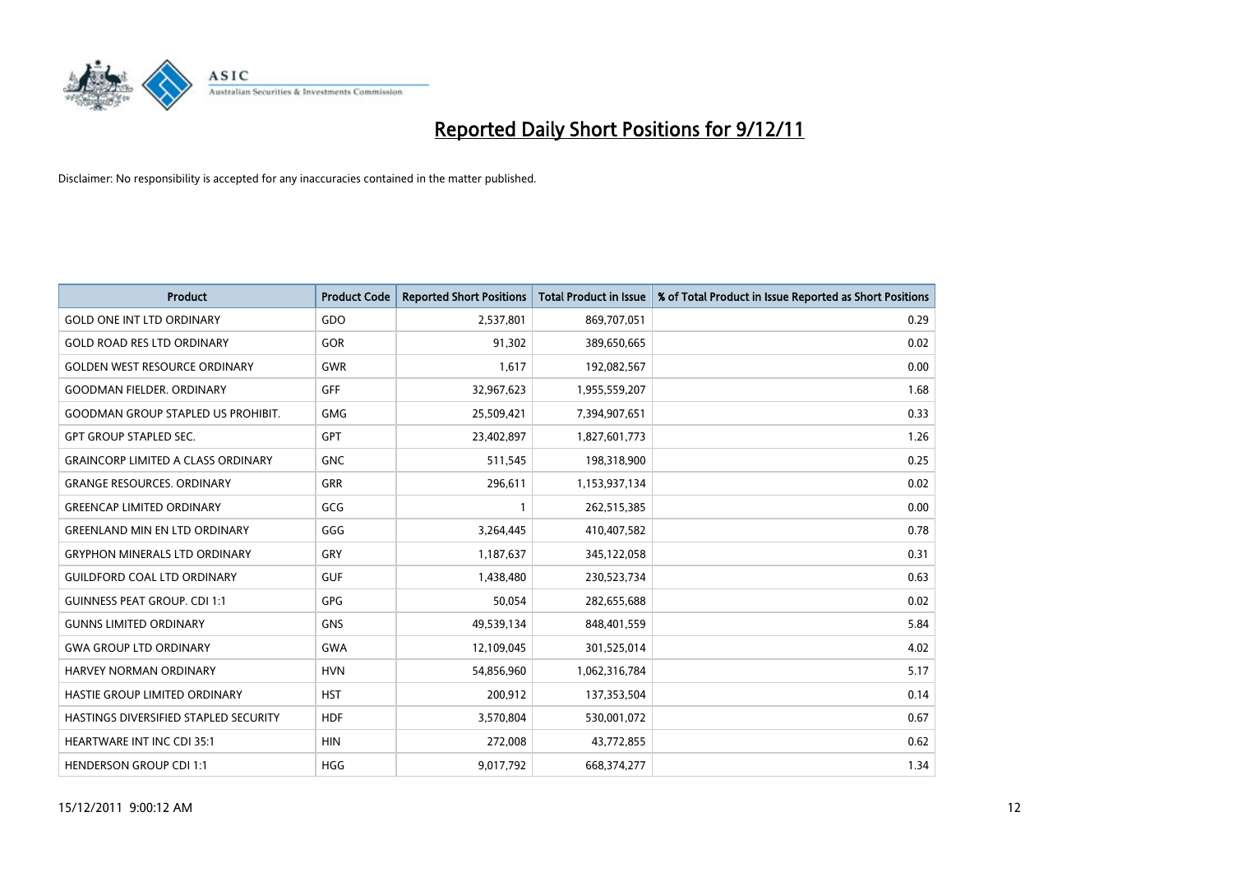

| <b>Product</b>                            | <b>Product Code</b> | <b>Reported Short Positions</b> | <b>Total Product in Issue</b> | % of Total Product in Issue Reported as Short Positions |
|-------------------------------------------|---------------------|---------------------------------|-------------------------------|---------------------------------------------------------|
| <b>GOLD ONE INT LTD ORDINARY</b>          | GDO                 | 2,537,801                       | 869,707,051                   | 0.29                                                    |
| <b>GOLD ROAD RES LTD ORDINARY</b>         | GOR                 | 91,302                          | 389,650,665                   | 0.02                                                    |
| <b>GOLDEN WEST RESOURCE ORDINARY</b>      | <b>GWR</b>          | 1.617                           | 192,082,567                   | 0.00                                                    |
| <b>GOODMAN FIELDER, ORDINARY</b>          | <b>GFF</b>          | 32,967,623                      | 1,955,559,207                 | 1.68                                                    |
| <b>GOODMAN GROUP STAPLED US PROHIBIT.</b> | <b>GMG</b>          | 25,509,421                      | 7,394,907,651                 | 0.33                                                    |
| <b>GPT GROUP STAPLED SEC.</b>             | <b>GPT</b>          | 23,402,897                      | 1,827,601,773                 | 1.26                                                    |
| <b>GRAINCORP LIMITED A CLASS ORDINARY</b> | <b>GNC</b>          | 511,545                         | 198,318,900                   | 0.25                                                    |
| <b>GRANGE RESOURCES. ORDINARY</b>         | GRR                 | 296,611                         | 1,153,937,134                 | 0.02                                                    |
| <b>GREENCAP LIMITED ORDINARY</b>          | GCG                 |                                 | 262,515,385                   | 0.00                                                    |
| <b>GREENLAND MIN EN LTD ORDINARY</b>      | GGG                 | 3,264,445                       | 410,407,582                   | 0.78                                                    |
| <b>GRYPHON MINERALS LTD ORDINARY</b>      | GRY                 | 1,187,637                       | 345,122,058                   | 0.31                                                    |
| <b>GUILDFORD COAL LTD ORDINARY</b>        | <b>GUF</b>          | 1,438,480                       | 230,523,734                   | 0.63                                                    |
| <b>GUINNESS PEAT GROUP. CDI 1:1</b>       | GPG                 | 50,054                          | 282,655,688                   | 0.02                                                    |
| <b>GUNNS LIMITED ORDINARY</b>             | <b>GNS</b>          | 49,539,134                      | 848,401,559                   | 5.84                                                    |
| <b>GWA GROUP LTD ORDINARY</b>             | <b>GWA</b>          | 12,109,045                      | 301,525,014                   | 4.02                                                    |
| <b>HARVEY NORMAN ORDINARY</b>             | <b>HVN</b>          | 54,856,960                      | 1,062,316,784                 | 5.17                                                    |
| HASTIE GROUP LIMITED ORDINARY             | <b>HST</b>          | 200,912                         | 137,353,504                   | 0.14                                                    |
| HASTINGS DIVERSIFIED STAPLED SECURITY     | <b>HDF</b>          | 3,570,804                       | 530,001,072                   | 0.67                                                    |
| HEARTWARE INT INC CDI 35:1                | <b>HIN</b>          | 272,008                         | 43,772,855                    | 0.62                                                    |
| <b>HENDERSON GROUP CDI 1:1</b>            | <b>HGG</b>          | 9,017,792                       | 668,374,277                   | 1.34                                                    |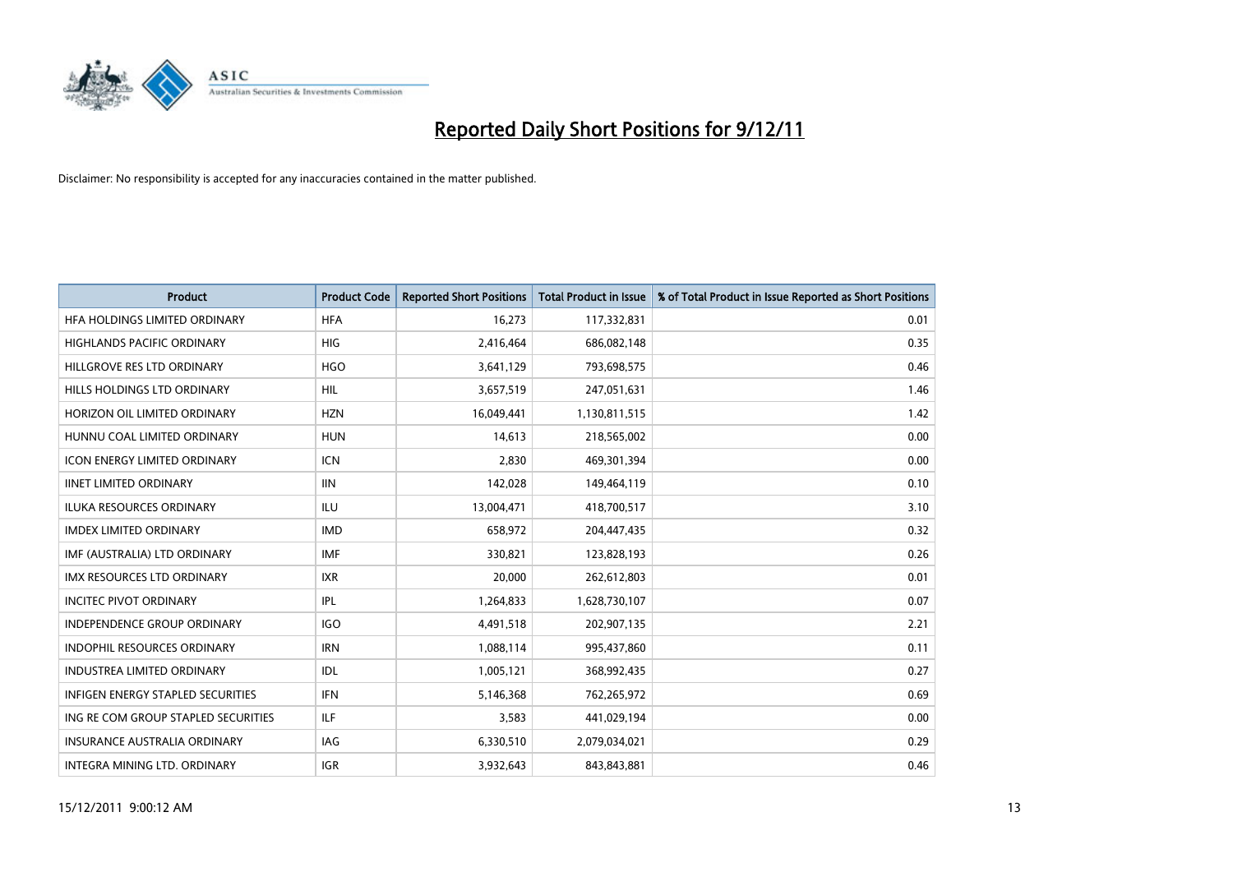

| <b>Product</b>                           | <b>Product Code</b> | <b>Reported Short Positions</b> | <b>Total Product in Issue</b> | % of Total Product in Issue Reported as Short Positions |
|------------------------------------------|---------------------|---------------------------------|-------------------------------|---------------------------------------------------------|
| HFA HOLDINGS LIMITED ORDINARY            | <b>HFA</b>          | 16,273                          | 117,332,831                   | 0.01                                                    |
| HIGHLANDS PACIFIC ORDINARY               | <b>HIG</b>          | 2,416,464                       | 686,082,148                   | 0.35                                                    |
| HILLGROVE RES LTD ORDINARY               | <b>HGO</b>          | 3,641,129                       | 793,698,575                   | 0.46                                                    |
| HILLS HOLDINGS LTD ORDINARY              | HIL                 | 3,657,519                       | 247,051,631                   | 1.46                                                    |
| HORIZON OIL LIMITED ORDINARY             | <b>HZN</b>          | 16,049,441                      | 1,130,811,515                 | 1.42                                                    |
| HUNNU COAL LIMITED ORDINARY              | <b>HUN</b>          | 14,613                          | 218,565,002                   | 0.00                                                    |
| <b>ICON ENERGY LIMITED ORDINARY</b>      | <b>ICN</b>          | 2.830                           | 469,301,394                   | 0.00                                                    |
| <b>IINET LIMITED ORDINARY</b>            | <b>IIN</b>          | 142,028                         | 149,464,119                   | 0.10                                                    |
| ILUKA RESOURCES ORDINARY                 | ILU                 | 13,004,471                      | 418,700,517                   | 3.10                                                    |
| <b>IMDEX LIMITED ORDINARY</b>            | <b>IMD</b>          | 658,972                         | 204,447,435                   | 0.32                                                    |
| IMF (AUSTRALIA) LTD ORDINARY             | <b>IMF</b>          | 330,821                         | 123,828,193                   | 0.26                                                    |
| <b>IMX RESOURCES LTD ORDINARY</b>        | <b>IXR</b>          | 20,000                          | 262,612,803                   | 0.01                                                    |
| <b>INCITEC PIVOT ORDINARY</b>            | IPL                 | 1,264,833                       | 1,628,730,107                 | 0.07                                                    |
| <b>INDEPENDENCE GROUP ORDINARY</b>       | <b>IGO</b>          | 4,491,518                       | 202,907,135                   | 2.21                                                    |
| <b>INDOPHIL RESOURCES ORDINARY</b>       | <b>IRN</b>          | 1,088,114                       | 995,437,860                   | 0.11                                                    |
| INDUSTREA LIMITED ORDINARY               | IDL                 | 1,005,121                       | 368,992,435                   | 0.27                                                    |
| <b>INFIGEN ENERGY STAPLED SECURITIES</b> | <b>IFN</b>          | 5,146,368                       | 762,265,972                   | 0.69                                                    |
| ING RE COM GROUP STAPLED SECURITIES      | ILF.                | 3,583                           | 441,029,194                   | 0.00                                                    |
| <b>INSURANCE AUSTRALIA ORDINARY</b>      | IAG                 | 6,330,510                       | 2,079,034,021                 | 0.29                                                    |
| INTEGRA MINING LTD. ORDINARY             | <b>IGR</b>          | 3.932.643                       | 843,843,881                   | 0.46                                                    |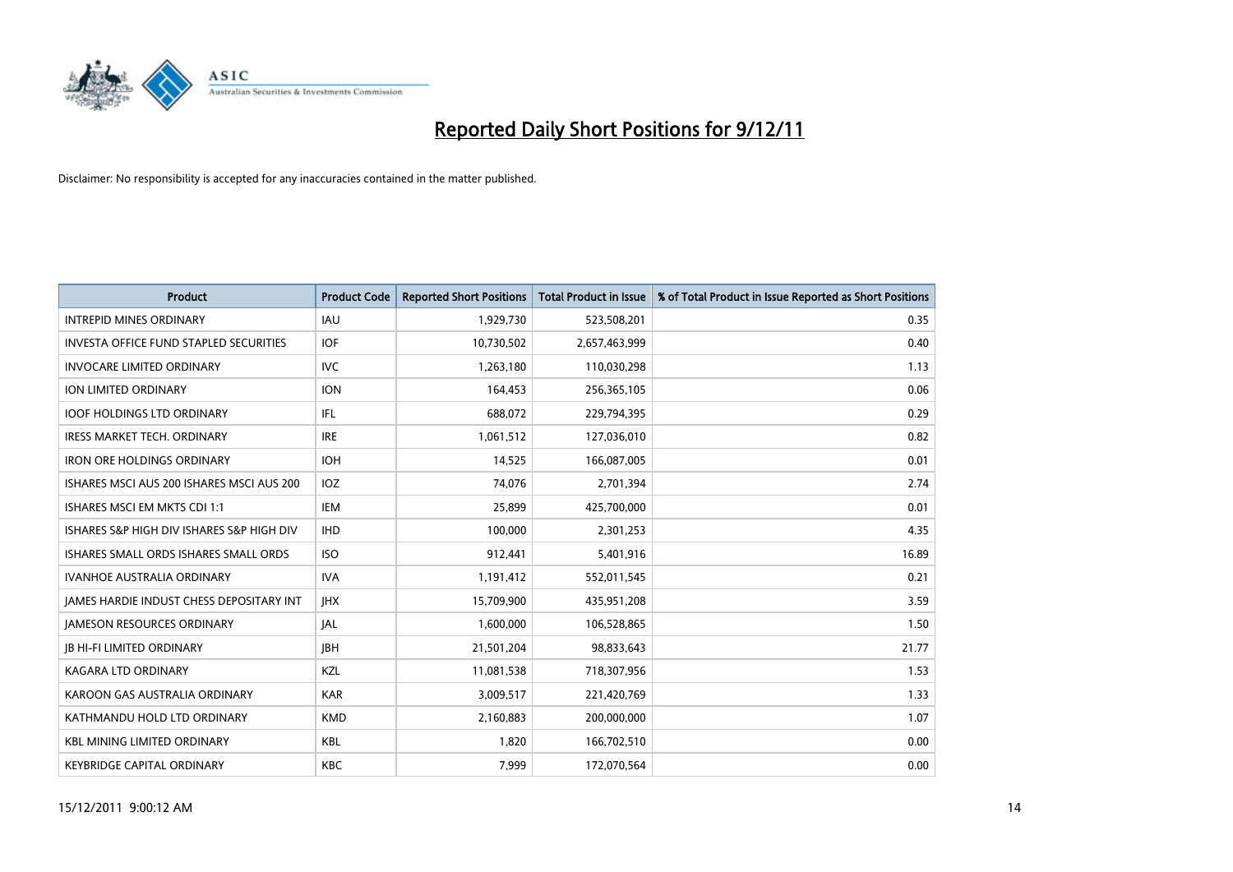

| <b>Product</b>                                  | <b>Product Code</b> | <b>Reported Short Positions</b> | <b>Total Product in Issue</b> | % of Total Product in Issue Reported as Short Positions |
|-------------------------------------------------|---------------------|---------------------------------|-------------------------------|---------------------------------------------------------|
| <b>INTREPID MINES ORDINARY</b>                  | <b>IAU</b>          | 1,929,730                       | 523,508,201                   | 0.35                                                    |
| <b>INVESTA OFFICE FUND STAPLED SECURITIES</b>   | <b>IOF</b>          | 10,730,502                      | 2,657,463,999                 | 0.40                                                    |
| <b>INVOCARE LIMITED ORDINARY</b>                | <b>IVC</b>          | 1,263,180                       | 110,030,298                   | 1.13                                                    |
| ION LIMITED ORDINARY                            | <b>ION</b>          | 164,453                         | 256,365,105                   | 0.06                                                    |
| <b>IOOF HOLDINGS LTD ORDINARY</b>               | <b>IFL</b>          | 688,072                         | 229,794,395                   | 0.29                                                    |
| <b>IRESS MARKET TECH. ORDINARY</b>              | <b>IRE</b>          | 1,061,512                       | 127,036,010                   | 0.82                                                    |
| <b>IRON ORE HOLDINGS ORDINARY</b>               | <b>IOH</b>          | 14,525                          | 166,087,005                   | 0.01                                                    |
| ISHARES MSCI AUS 200 ISHARES MSCI AUS 200       | <b>IOZ</b>          | 74,076                          | 2,701,394                     | 2.74                                                    |
| ISHARES MSCI EM MKTS CDI 1:1                    | IEM                 | 25,899                          | 425,700,000                   | 0.01                                                    |
| ISHARES S&P HIGH DIV ISHARES S&P HIGH DIV       | <b>IHD</b>          | 100,000                         | 2,301,253                     | 4.35                                                    |
| ISHARES SMALL ORDS ISHARES SMALL ORDS           | <b>ISO</b>          | 912,441                         | 5,401,916                     | 16.89                                                   |
| <b>IVANHOE AUSTRALIA ORDINARY</b>               | <b>IVA</b>          | 1,191,412                       | 552,011,545                   | 0.21                                                    |
| <b>JAMES HARDIE INDUST CHESS DEPOSITARY INT</b> | <b>IHX</b>          | 15,709,900                      | 435,951,208                   | 3.59                                                    |
| <b>JAMESON RESOURCES ORDINARY</b>               | <b>JAL</b>          | 1,600,000                       | 106,528,865                   | 1.50                                                    |
| <b>JB HI-FI LIMITED ORDINARY</b>                | <b>IBH</b>          | 21,501,204                      | 98,833,643                    | 21.77                                                   |
| KAGARA LTD ORDINARY                             | KZL                 | 11,081,538                      | 718,307,956                   | 1.53                                                    |
| KAROON GAS AUSTRALIA ORDINARY                   | <b>KAR</b>          | 3,009,517                       | 221,420,769                   | 1.33                                                    |
| KATHMANDU HOLD LTD ORDINARY                     | <b>KMD</b>          | 2,160,883                       | 200,000,000                   | 1.07                                                    |
| <b>KBL MINING LIMITED ORDINARY</b>              | <b>KBL</b>          | 1,820                           | 166,702,510                   | 0.00                                                    |
| <b>KEYBRIDGE CAPITAL ORDINARY</b>               | <b>KBC</b>          | 7,999                           | 172,070,564                   | 0.00                                                    |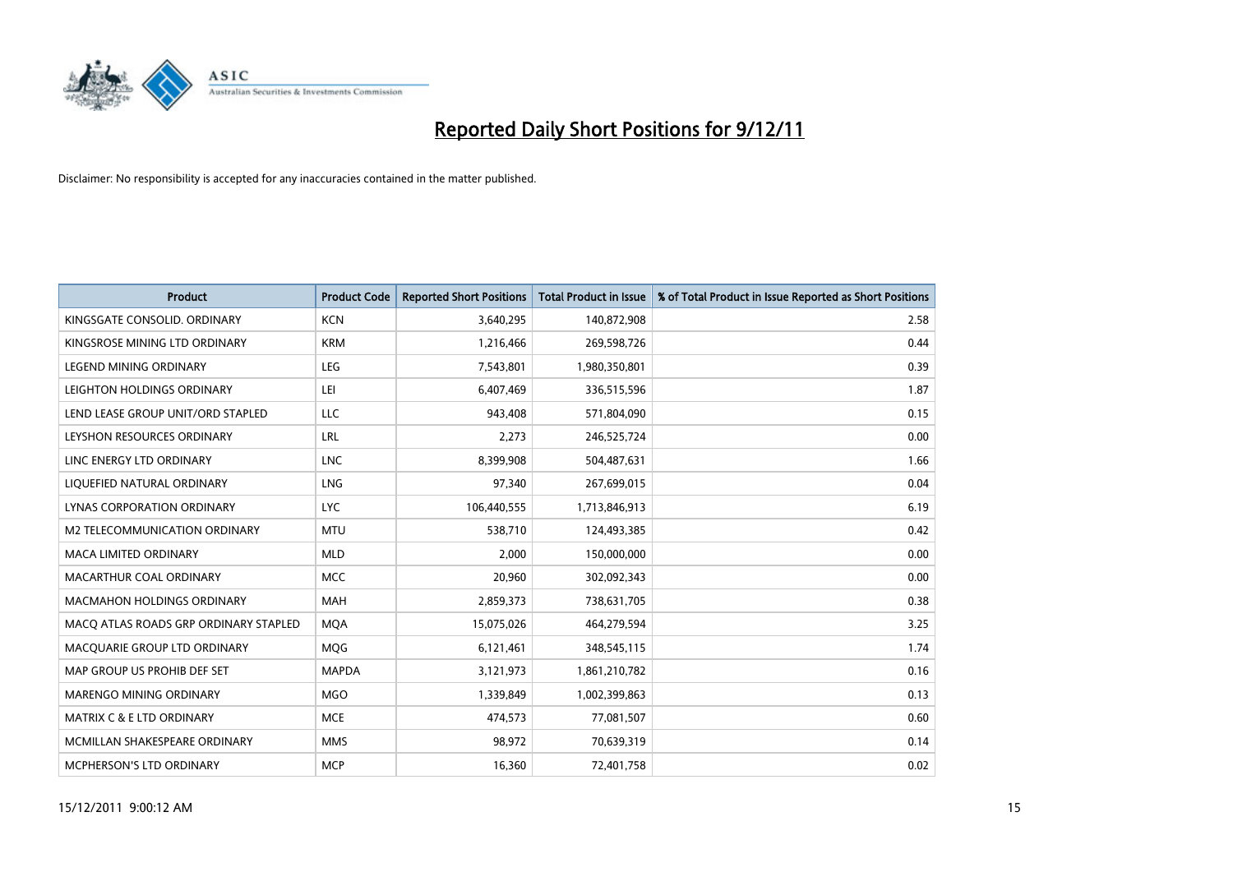

| <b>Product</b>                        | <b>Product Code</b> | <b>Reported Short Positions</b> | <b>Total Product in Issue</b> | % of Total Product in Issue Reported as Short Positions |
|---------------------------------------|---------------------|---------------------------------|-------------------------------|---------------------------------------------------------|
| KINGSGATE CONSOLID. ORDINARY          | <b>KCN</b>          | 3,640,295                       | 140,872,908                   | 2.58                                                    |
| KINGSROSE MINING LTD ORDINARY         | <b>KRM</b>          | 1,216,466                       | 269,598,726                   | 0.44                                                    |
| <b>LEGEND MINING ORDINARY</b>         | LEG                 | 7,543,801                       | 1,980,350,801                 | 0.39                                                    |
| LEIGHTON HOLDINGS ORDINARY            | LEI                 | 6,407,469                       | 336,515,596                   | 1.87                                                    |
| LEND LEASE GROUP UNIT/ORD STAPLED     | LLC                 | 943,408                         | 571,804,090                   | 0.15                                                    |
| LEYSHON RESOURCES ORDINARY            | LRL                 | 2,273                           | 246,525,724                   | 0.00                                                    |
| LINC ENERGY LTD ORDINARY              | <b>LNC</b>          | 8,399,908                       | 504,487,631                   | 1.66                                                    |
| LIQUEFIED NATURAL ORDINARY            | LNG                 | 97,340                          | 267,699,015                   | 0.04                                                    |
| LYNAS CORPORATION ORDINARY            | LYC.                | 106,440,555                     | 1,713,846,913                 | 6.19                                                    |
| M2 TELECOMMUNICATION ORDINARY         | <b>MTU</b>          | 538,710                         | 124,493,385                   | 0.42                                                    |
| MACA LIMITED ORDINARY                 | <b>MLD</b>          | 2,000                           | 150,000,000                   | 0.00                                                    |
| MACARTHUR COAL ORDINARY               | <b>MCC</b>          | 20,960                          | 302,092,343                   | 0.00                                                    |
| MACMAHON HOLDINGS ORDINARY            | <b>MAH</b>          | 2,859,373                       | 738,631,705                   | 0.38                                                    |
| MACO ATLAS ROADS GRP ORDINARY STAPLED | <b>MOA</b>          | 15,075,026                      | 464,279,594                   | 3.25                                                    |
| MACQUARIE GROUP LTD ORDINARY          | MQG                 | 6,121,461                       | 348,545,115                   | 1.74                                                    |
| MAP GROUP US PROHIB DEF SET           | <b>MAPDA</b>        | 3,121,973                       | 1,861,210,782                 | 0.16                                                    |
| MARENGO MINING ORDINARY               | <b>MGO</b>          | 1,339,849                       | 1,002,399,863                 | 0.13                                                    |
| <b>MATRIX C &amp; E LTD ORDINARY</b>  | <b>MCE</b>          | 474,573                         | 77,081,507                    | 0.60                                                    |
| MCMILLAN SHAKESPEARE ORDINARY         | <b>MMS</b>          | 98,972                          | 70,639,319                    | 0.14                                                    |
| MCPHERSON'S LTD ORDINARY              | <b>MCP</b>          | 16,360                          | 72,401,758                    | 0.02                                                    |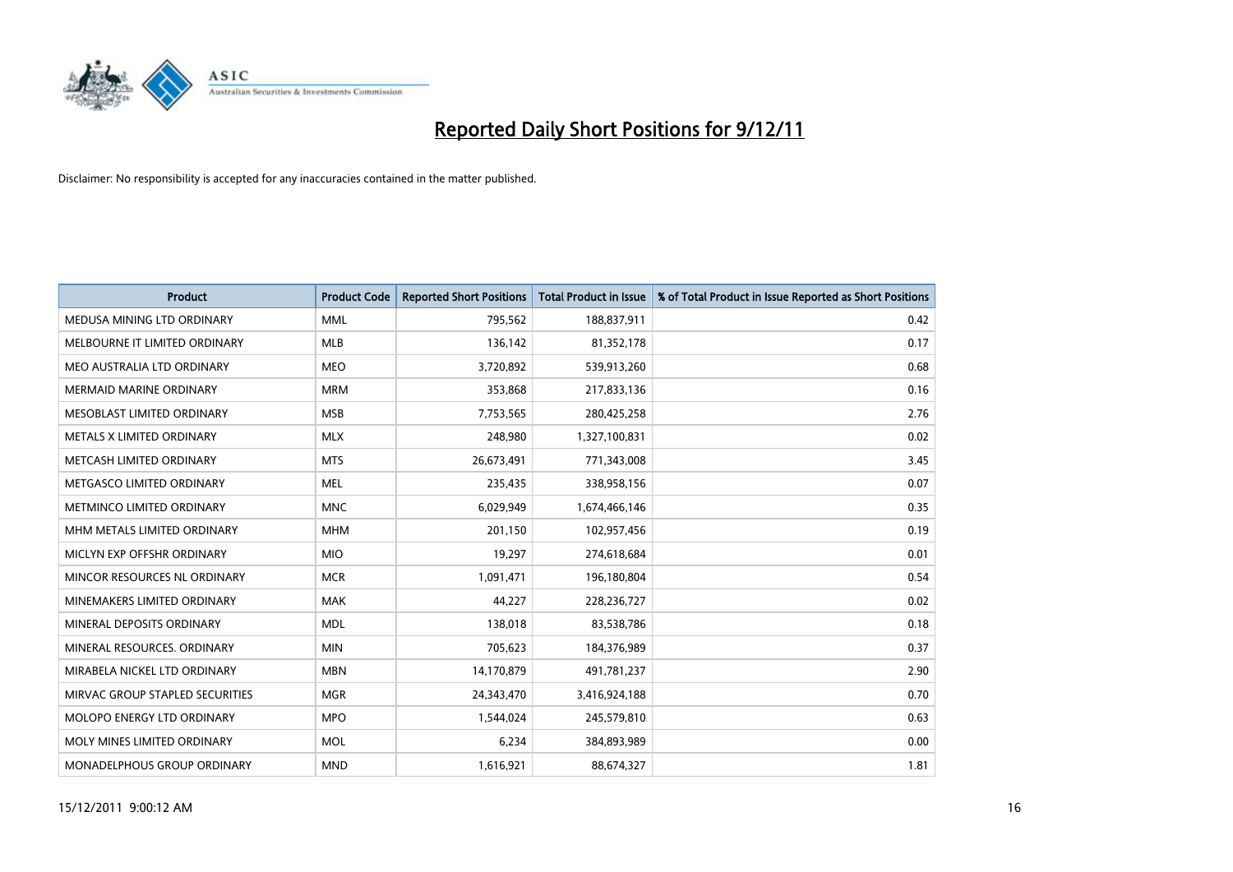

| <b>Product</b>                   | <b>Product Code</b> | <b>Reported Short Positions</b> | <b>Total Product in Issue</b> | % of Total Product in Issue Reported as Short Positions |
|----------------------------------|---------------------|---------------------------------|-------------------------------|---------------------------------------------------------|
| MEDUSA MINING LTD ORDINARY       | <b>MML</b>          | 795,562                         | 188,837,911                   | 0.42                                                    |
| MELBOURNE IT LIMITED ORDINARY    | <b>MLB</b>          | 136,142                         | 81,352,178                    | 0.17                                                    |
| MEO AUSTRALIA LTD ORDINARY       | <b>MEO</b>          | 3,720,892                       | 539,913,260                   | 0.68                                                    |
| MERMAID MARINE ORDINARY          | <b>MRM</b>          | 353,868                         | 217,833,136                   | 0.16                                                    |
| MESOBLAST LIMITED ORDINARY       | <b>MSB</b>          | 7,753,565                       | 280,425,258                   | 2.76                                                    |
| <b>METALS X LIMITED ORDINARY</b> | <b>MLX</b>          | 248,980                         | 1,327,100,831                 | 0.02                                                    |
| METCASH LIMITED ORDINARY         | <b>MTS</b>          | 26,673,491                      | 771,343,008                   | 3.45                                                    |
| METGASCO LIMITED ORDINARY        | <b>MEL</b>          | 235,435                         | 338,958,156                   | 0.07                                                    |
| METMINCO LIMITED ORDINARY        | <b>MNC</b>          | 6,029,949                       | 1,674,466,146                 | 0.35                                                    |
| MHM METALS LIMITED ORDINARY      | <b>MHM</b>          | 201,150                         | 102,957,456                   | 0.19                                                    |
| MICLYN EXP OFFSHR ORDINARY       | <b>MIO</b>          | 19,297                          | 274,618,684                   | 0.01                                                    |
| MINCOR RESOURCES NL ORDINARY     | <b>MCR</b>          | 1,091,471                       | 196,180,804                   | 0.54                                                    |
| MINEMAKERS LIMITED ORDINARY      | <b>MAK</b>          | 44,227                          | 228,236,727                   | 0.02                                                    |
| MINERAL DEPOSITS ORDINARY        | <b>MDL</b>          | 138,018                         | 83,538,786                    | 0.18                                                    |
| MINERAL RESOURCES, ORDINARY      | <b>MIN</b>          | 705,623                         | 184,376,989                   | 0.37                                                    |
| MIRABELA NICKEL LTD ORDINARY     | <b>MBN</b>          | 14,170,879                      | 491,781,237                   | 2.90                                                    |
| MIRVAC GROUP STAPLED SECURITIES  | <b>MGR</b>          | 24,343,470                      | 3,416,924,188                 | 0.70                                                    |
| MOLOPO ENERGY LTD ORDINARY       | <b>MPO</b>          | 1,544,024                       | 245,579,810                   | 0.63                                                    |
| MOLY MINES LIMITED ORDINARY      | <b>MOL</b>          | 6,234                           | 384,893,989                   | 0.00                                                    |
| MONADELPHOUS GROUP ORDINARY      | <b>MND</b>          | 1,616,921                       | 88,674,327                    | 1.81                                                    |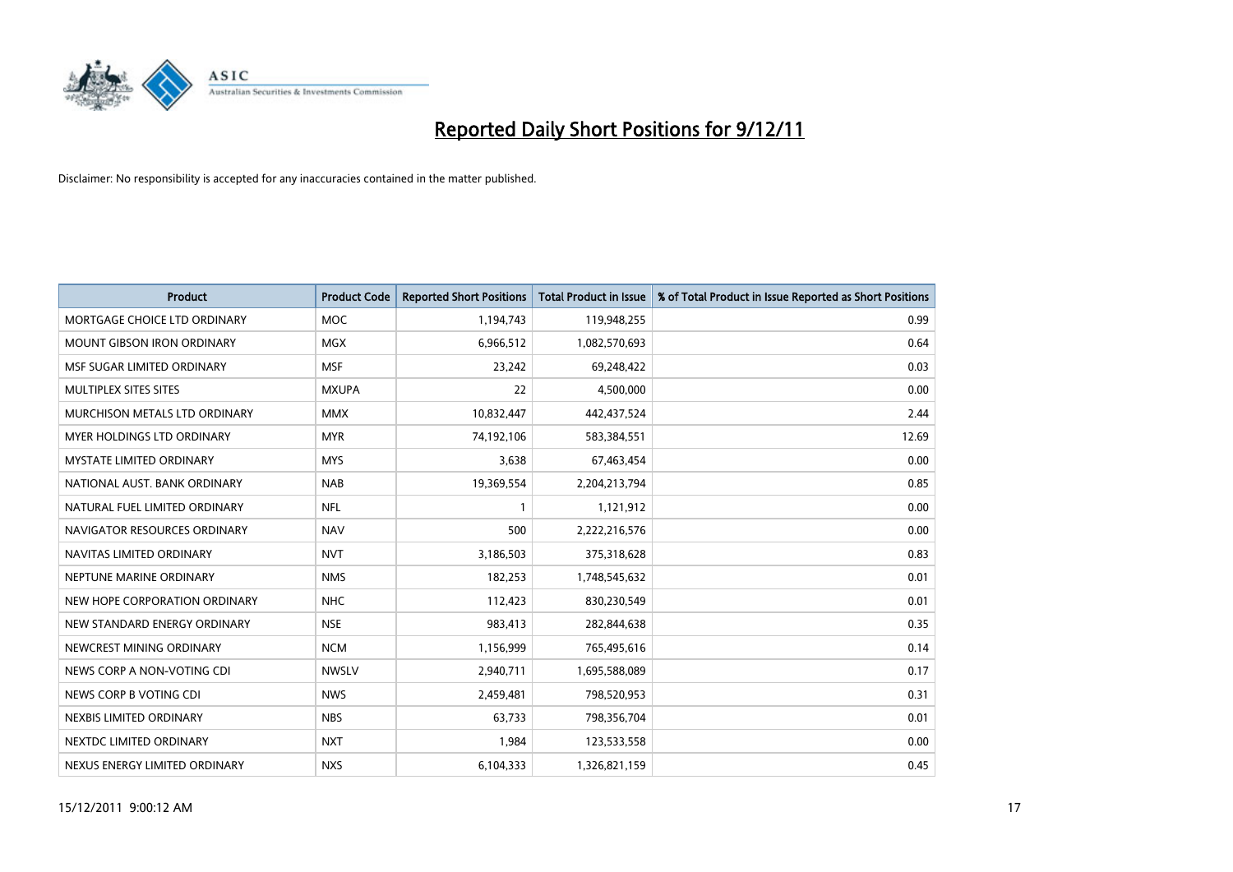

| <b>Product</b>                    | <b>Product Code</b> | <b>Reported Short Positions</b> | <b>Total Product in Issue</b> | % of Total Product in Issue Reported as Short Positions |
|-----------------------------------|---------------------|---------------------------------|-------------------------------|---------------------------------------------------------|
| MORTGAGE CHOICE LTD ORDINARY      | <b>MOC</b>          | 1,194,743                       | 119,948,255                   | 0.99                                                    |
| MOUNT GIBSON IRON ORDINARY        | <b>MGX</b>          | 6,966,512                       | 1,082,570,693                 | 0.64                                                    |
| MSF SUGAR LIMITED ORDINARY        | <b>MSF</b>          | 23,242                          | 69,248,422                    | 0.03                                                    |
| MULTIPLEX SITES SITES             | <b>MXUPA</b>        | 22                              | 4,500,000                     | 0.00                                                    |
| MURCHISON METALS LTD ORDINARY     | <b>MMX</b>          | 10,832,447                      | 442,437,524                   | 2.44                                                    |
| <b>MYER HOLDINGS LTD ORDINARY</b> | <b>MYR</b>          | 74,192,106                      | 583,384,551                   | 12.69                                                   |
| <b>MYSTATE LIMITED ORDINARY</b>   | <b>MYS</b>          | 3,638                           | 67,463,454                    | 0.00                                                    |
| NATIONAL AUST. BANK ORDINARY      | <b>NAB</b>          | 19,369,554                      | 2,204,213,794                 | 0.85                                                    |
| NATURAL FUEL LIMITED ORDINARY     | <b>NFL</b>          |                                 | 1,121,912                     | 0.00                                                    |
| NAVIGATOR RESOURCES ORDINARY      | <b>NAV</b>          | 500                             | 2,222,216,576                 | 0.00                                                    |
| NAVITAS LIMITED ORDINARY          | <b>NVT</b>          | 3,186,503                       | 375,318,628                   | 0.83                                                    |
| NEPTUNE MARINE ORDINARY           | <b>NMS</b>          | 182,253                         | 1,748,545,632                 | 0.01                                                    |
| NEW HOPE CORPORATION ORDINARY     | <b>NHC</b>          | 112,423                         | 830,230,549                   | 0.01                                                    |
| NEW STANDARD ENERGY ORDINARY      | <b>NSE</b>          | 983,413                         | 282,844,638                   | 0.35                                                    |
| NEWCREST MINING ORDINARY          | <b>NCM</b>          | 1,156,999                       | 765,495,616                   | 0.14                                                    |
| NEWS CORP A NON-VOTING CDI        | <b>NWSLV</b>        | 2,940,711                       | 1,695,588,089                 | 0.17                                                    |
| NEWS CORP B VOTING CDI            | <b>NWS</b>          | 2,459,481                       | 798,520,953                   | 0.31                                                    |
| NEXBIS LIMITED ORDINARY           | <b>NBS</b>          | 63,733                          | 798,356,704                   | 0.01                                                    |
| NEXTDC LIMITED ORDINARY           | <b>NXT</b>          | 1,984                           | 123,533,558                   | 0.00                                                    |
| NEXUS ENERGY LIMITED ORDINARY     | <b>NXS</b>          | 6,104,333                       | 1,326,821,159                 | 0.45                                                    |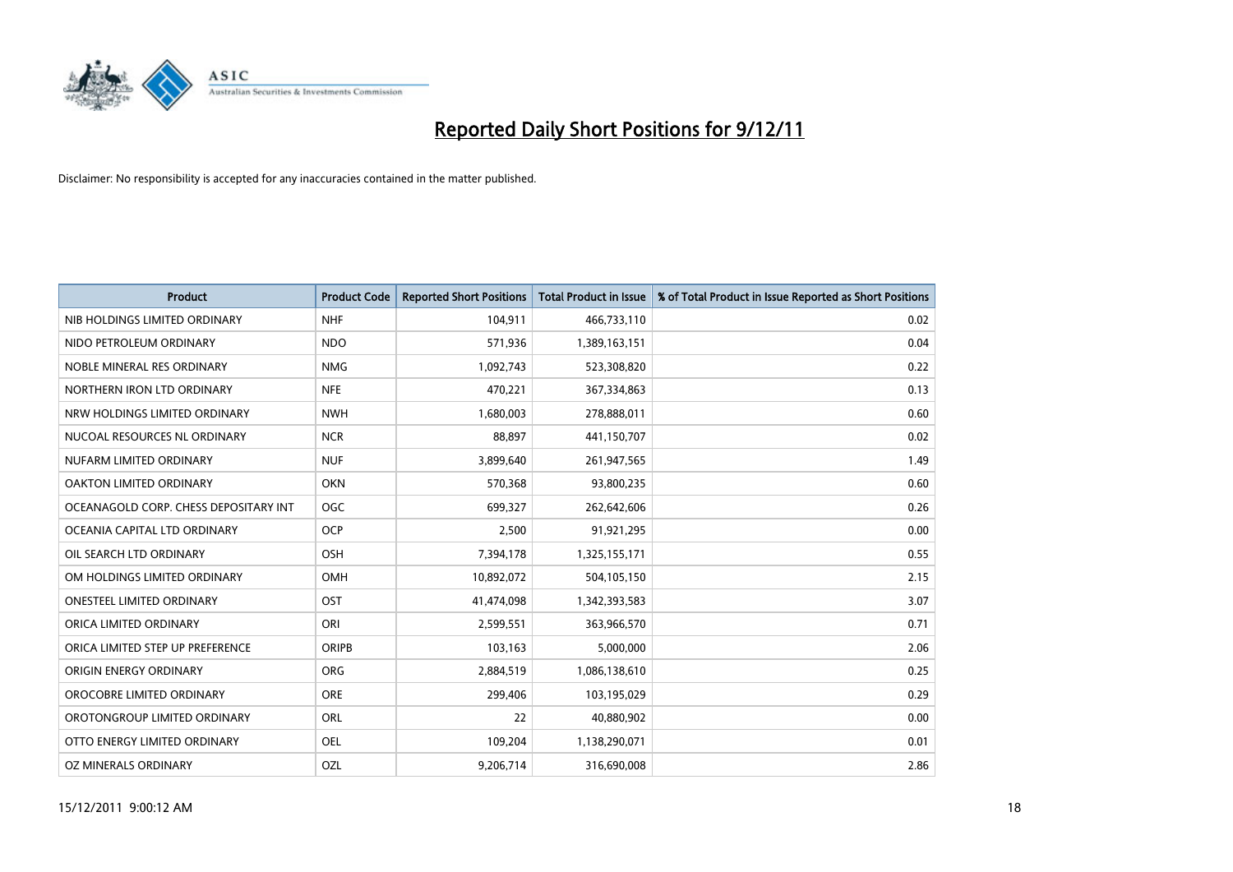

| <b>Product</b>                        | <b>Product Code</b> | <b>Reported Short Positions</b> | <b>Total Product in Issue</b> | % of Total Product in Issue Reported as Short Positions |
|---------------------------------------|---------------------|---------------------------------|-------------------------------|---------------------------------------------------------|
| NIB HOLDINGS LIMITED ORDINARY         | <b>NHF</b>          | 104,911                         | 466,733,110                   | 0.02                                                    |
| NIDO PETROLEUM ORDINARY               | <b>NDO</b>          | 571,936                         | 1,389,163,151                 | 0.04                                                    |
| NOBLE MINERAL RES ORDINARY            | <b>NMG</b>          | 1,092,743                       | 523,308,820                   | 0.22                                                    |
| NORTHERN IRON LTD ORDINARY            | <b>NFE</b>          | 470,221                         | 367,334,863                   | 0.13                                                    |
| NRW HOLDINGS LIMITED ORDINARY         | <b>NWH</b>          | 1,680,003                       | 278,888,011                   | 0.60                                                    |
| NUCOAL RESOURCES NL ORDINARY          | <b>NCR</b>          | 88,897                          | 441,150,707                   | 0.02                                                    |
| NUFARM LIMITED ORDINARY               | <b>NUF</b>          | 3,899,640                       | 261,947,565                   | 1.49                                                    |
| OAKTON LIMITED ORDINARY               | <b>OKN</b>          | 570,368                         | 93,800,235                    | 0.60                                                    |
| OCEANAGOLD CORP. CHESS DEPOSITARY INT | <b>OGC</b>          | 699,327                         | 262,642,606                   | 0.26                                                    |
| OCEANIA CAPITAL LTD ORDINARY          | <b>OCP</b>          | 2,500                           | 91,921,295                    | 0.00                                                    |
| OIL SEARCH LTD ORDINARY               | <b>OSH</b>          | 7,394,178                       | 1,325,155,171                 | 0.55                                                    |
| OM HOLDINGS LIMITED ORDINARY          | <b>OMH</b>          | 10,892,072                      | 504,105,150                   | 2.15                                                    |
| ONESTEEL LIMITED ORDINARY             | OST                 | 41,474,098                      | 1,342,393,583                 | 3.07                                                    |
| ORICA LIMITED ORDINARY                | ORI                 | 2,599,551                       | 363,966,570                   | 0.71                                                    |
| ORICA LIMITED STEP UP PREFERENCE      | <b>ORIPB</b>        | 103,163                         | 5,000,000                     | 2.06                                                    |
| ORIGIN ENERGY ORDINARY                | <b>ORG</b>          | 2,884,519                       | 1,086,138,610                 | 0.25                                                    |
| OROCOBRE LIMITED ORDINARY             | <b>ORE</b>          | 299,406                         | 103,195,029                   | 0.29                                                    |
| OROTONGROUP LIMITED ORDINARY          | <b>ORL</b>          | 22                              | 40,880,902                    | 0.00                                                    |
| OTTO ENERGY LIMITED ORDINARY          | OEL                 | 109,204                         | 1,138,290,071                 | 0.01                                                    |
| OZ MINERALS ORDINARY                  | OZL                 | 9,206,714                       | 316,690,008                   | 2.86                                                    |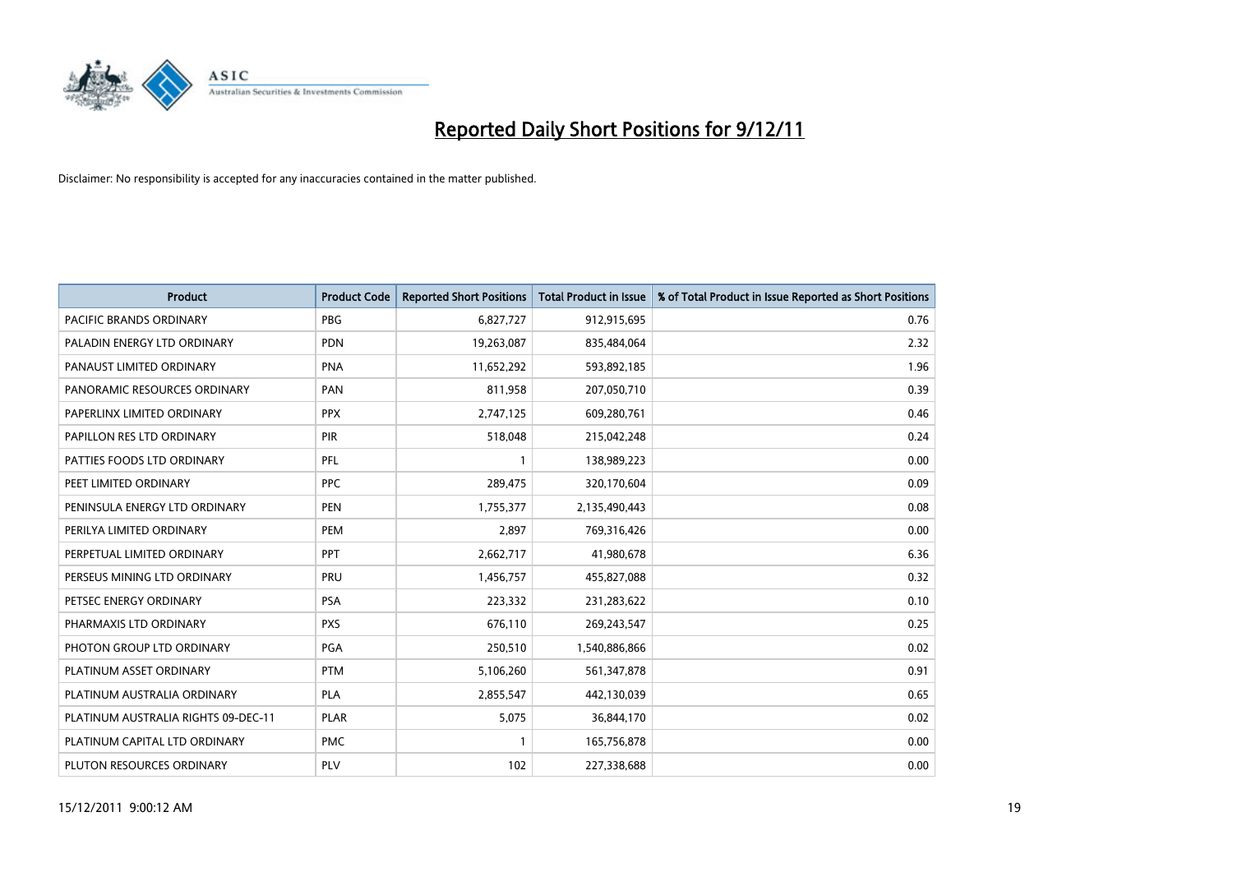

| <b>Product</b>                      | <b>Product Code</b> | <b>Reported Short Positions</b> | <b>Total Product in Issue</b> | % of Total Product in Issue Reported as Short Positions |
|-------------------------------------|---------------------|---------------------------------|-------------------------------|---------------------------------------------------------|
| PACIFIC BRANDS ORDINARY             | <b>PBG</b>          | 6,827,727                       | 912,915,695                   | 0.76                                                    |
| PALADIN ENERGY LTD ORDINARY         | <b>PDN</b>          | 19,263,087                      | 835,484,064                   | 2.32                                                    |
| PANAUST LIMITED ORDINARY            | PNA                 | 11,652,292                      | 593,892,185                   | 1.96                                                    |
| PANORAMIC RESOURCES ORDINARY        | PAN                 | 811,958                         | 207,050,710                   | 0.39                                                    |
| PAPERLINX LIMITED ORDINARY          | <b>PPX</b>          | 2,747,125                       | 609,280,761                   | 0.46                                                    |
| PAPILLON RES LTD ORDINARY           | PIR                 | 518,048                         | 215,042,248                   | 0.24                                                    |
| PATTIES FOODS LTD ORDINARY          | <b>PFL</b>          |                                 | 138,989,223                   | 0.00                                                    |
| PEET LIMITED ORDINARY               | <b>PPC</b>          | 289,475                         | 320,170,604                   | 0.09                                                    |
| PENINSULA ENERGY LTD ORDINARY       | <b>PEN</b>          | 1,755,377                       | 2,135,490,443                 | 0.08                                                    |
| PERILYA LIMITED ORDINARY            | <b>PEM</b>          | 2,897                           | 769,316,426                   | 0.00                                                    |
| PERPETUAL LIMITED ORDINARY          | <b>PPT</b>          | 2,662,717                       | 41,980,678                    | 6.36                                                    |
| PERSEUS MINING LTD ORDINARY         | PRU                 | 1,456,757                       | 455,827,088                   | 0.32                                                    |
| PETSEC ENERGY ORDINARY              | <b>PSA</b>          | 223,332                         | 231,283,622                   | 0.10                                                    |
| PHARMAXIS LTD ORDINARY              | <b>PXS</b>          | 676,110                         | 269,243,547                   | 0.25                                                    |
| PHOTON GROUP LTD ORDINARY           | <b>PGA</b>          | 250,510                         | 1,540,886,866                 | 0.02                                                    |
| PLATINUM ASSET ORDINARY             | <b>PTM</b>          | 5,106,260                       | 561,347,878                   | 0.91                                                    |
| PLATINUM AUSTRALIA ORDINARY         | <b>PLA</b>          | 2,855,547                       | 442,130,039                   | 0.65                                                    |
| PLATINUM AUSTRALIA RIGHTS 09-DEC-11 | <b>PLAR</b>         | 5,075                           | 36,844,170                    | 0.02                                                    |
| PLATINUM CAPITAL LTD ORDINARY       | <b>PMC</b>          |                                 | 165,756,878                   | 0.00                                                    |
| PLUTON RESOURCES ORDINARY           | PLV                 | 102                             | 227,338,688                   | 0.00                                                    |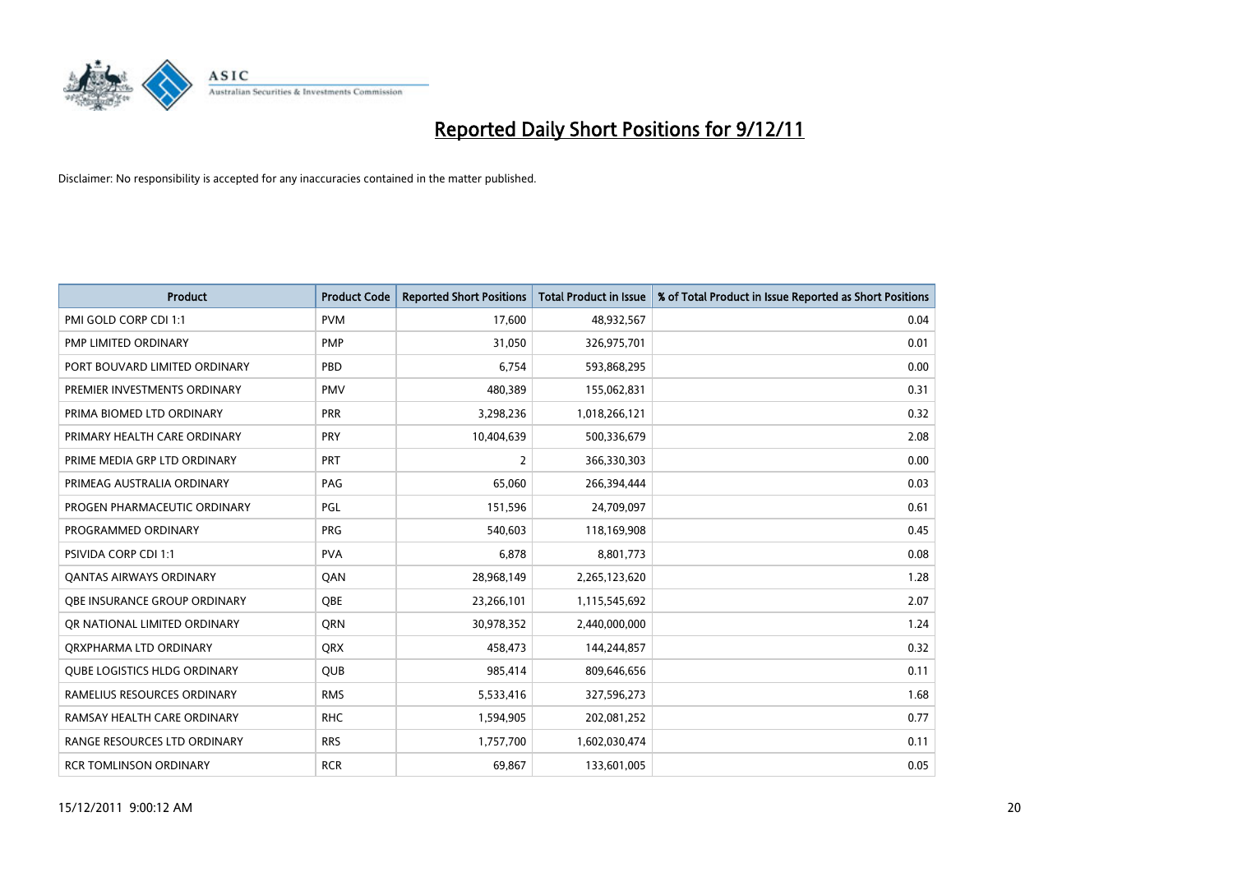

| <b>Product</b>                      | <b>Product Code</b> | <b>Reported Short Positions</b> | <b>Total Product in Issue</b> | % of Total Product in Issue Reported as Short Positions |
|-------------------------------------|---------------------|---------------------------------|-------------------------------|---------------------------------------------------------|
| PMI GOLD CORP CDI 1:1               | <b>PVM</b>          | 17,600                          | 48,932,567                    | 0.04                                                    |
| PMP LIMITED ORDINARY                | <b>PMP</b>          | 31,050                          | 326,975,701                   | 0.01                                                    |
| PORT BOUVARD LIMITED ORDINARY       | PBD                 | 6.754                           | 593,868,295                   | 0.00                                                    |
| PREMIER INVESTMENTS ORDINARY        | <b>PMV</b>          | 480,389                         | 155,062,831                   | 0.31                                                    |
| PRIMA BIOMED LTD ORDINARY           | <b>PRR</b>          | 3,298,236                       | 1,018,266,121                 | 0.32                                                    |
| PRIMARY HEALTH CARE ORDINARY        | PRY                 | 10,404,639                      | 500,336,679                   | 2.08                                                    |
| PRIME MEDIA GRP LTD ORDINARY        | <b>PRT</b>          | 2                               | 366,330,303                   | 0.00                                                    |
| PRIMEAG AUSTRALIA ORDINARY          | PAG                 | 65,060                          | 266,394,444                   | 0.03                                                    |
| PROGEN PHARMACEUTIC ORDINARY        | PGL                 | 151,596                         | 24,709,097                    | 0.61                                                    |
| PROGRAMMED ORDINARY                 | <b>PRG</b>          | 540,603                         | 118,169,908                   | 0.45                                                    |
| PSIVIDA CORP CDI 1:1                | <b>PVA</b>          | 6,878                           | 8,801,773                     | 0.08                                                    |
| <b>QANTAS AIRWAYS ORDINARY</b>      | QAN                 | 28,968,149                      | 2,265,123,620                 | 1.28                                                    |
| <b>OBE INSURANCE GROUP ORDINARY</b> | <b>OBE</b>          | 23,266,101                      | 1,115,545,692                 | 2.07                                                    |
| OR NATIONAL LIMITED ORDINARY        | <b>ORN</b>          | 30,978,352                      | 2,440,000,000                 | 1.24                                                    |
| ORXPHARMA LTD ORDINARY              | <b>QRX</b>          | 458,473                         | 144,244,857                   | 0.32                                                    |
| <b>QUBE LOGISTICS HLDG ORDINARY</b> | QUB                 | 985,414                         | 809,646,656                   | 0.11                                                    |
| RAMELIUS RESOURCES ORDINARY         | <b>RMS</b>          | 5,533,416                       | 327,596,273                   | 1.68                                                    |
| RAMSAY HEALTH CARE ORDINARY         | <b>RHC</b>          | 1,594,905                       | 202,081,252                   | 0.77                                                    |
| RANGE RESOURCES LTD ORDINARY        | <b>RRS</b>          | 1,757,700                       | 1,602,030,474                 | 0.11                                                    |
| <b>RCR TOMLINSON ORDINARY</b>       | <b>RCR</b>          | 69,867                          | 133,601,005                   | 0.05                                                    |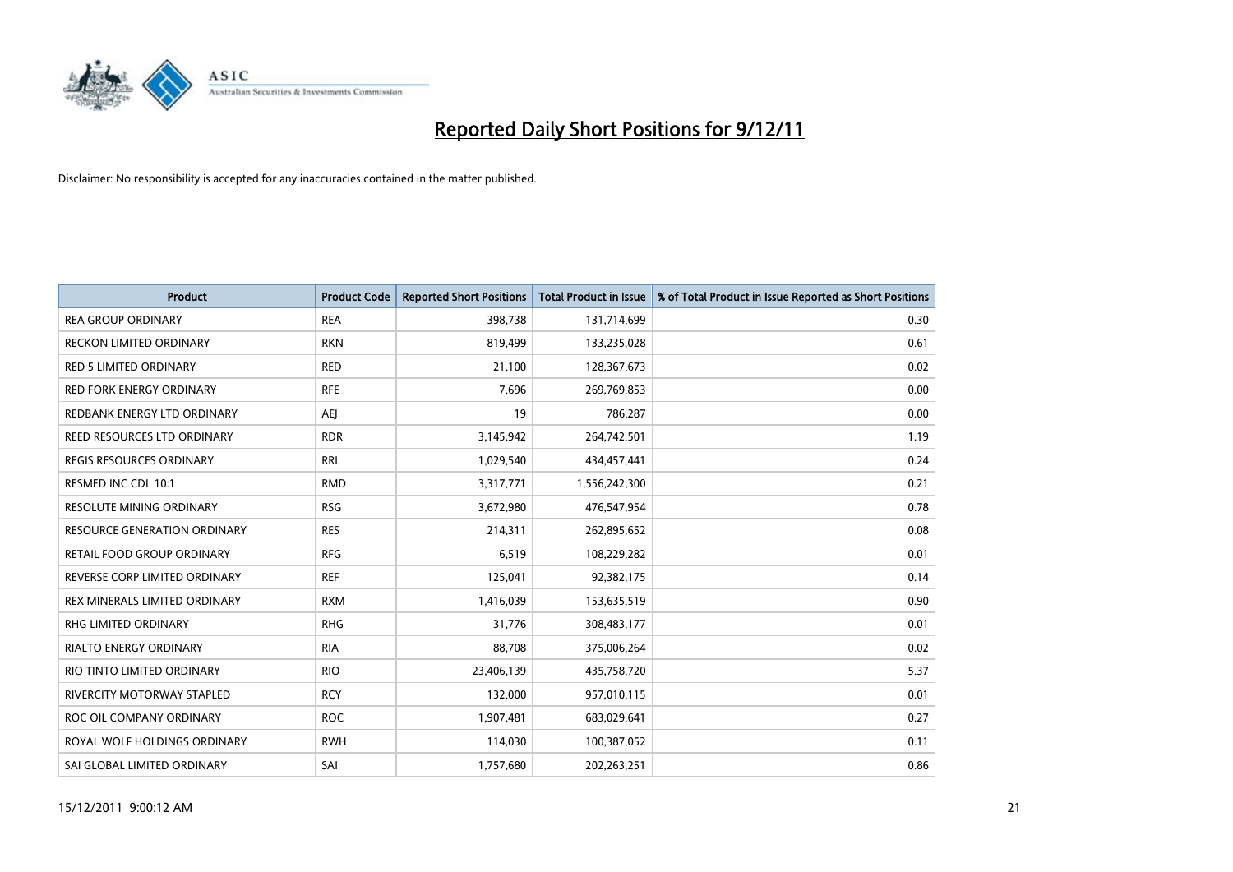

| <b>Product</b>                      | <b>Product Code</b> | <b>Reported Short Positions</b> | <b>Total Product in Issue</b> | % of Total Product in Issue Reported as Short Positions |
|-------------------------------------|---------------------|---------------------------------|-------------------------------|---------------------------------------------------------|
| <b>REA GROUP ORDINARY</b>           | <b>REA</b>          | 398,738                         | 131,714,699                   | 0.30                                                    |
| RECKON LIMITED ORDINARY             | <b>RKN</b>          | 819,499                         | 133,235,028                   | 0.61                                                    |
| <b>RED 5 LIMITED ORDINARY</b>       | <b>RED</b>          | 21,100                          | 128,367,673                   | 0.02                                                    |
| RED FORK ENERGY ORDINARY            | <b>RFE</b>          | 7,696                           | 269,769,853                   | 0.00                                                    |
| REDBANK ENERGY LTD ORDINARY         | AEI                 | 19                              | 786,287                       | 0.00                                                    |
| REED RESOURCES LTD ORDINARY         | <b>RDR</b>          | 3,145,942                       | 264,742,501                   | 1.19                                                    |
| <b>REGIS RESOURCES ORDINARY</b>     | <b>RRL</b>          | 1,029,540                       | 434,457,441                   | 0.24                                                    |
| RESMED INC CDI 10:1                 | <b>RMD</b>          | 3,317,771                       | 1,556,242,300                 | 0.21                                                    |
| RESOLUTE MINING ORDINARY            | <b>RSG</b>          | 3,672,980                       | 476,547,954                   | 0.78                                                    |
| <b>RESOURCE GENERATION ORDINARY</b> | <b>RES</b>          | 214,311                         | 262,895,652                   | 0.08                                                    |
| RETAIL FOOD GROUP ORDINARY          | <b>RFG</b>          | 6,519                           | 108,229,282                   | 0.01                                                    |
| REVERSE CORP LIMITED ORDINARY       | <b>REF</b>          | 125,041                         | 92,382,175                    | 0.14                                                    |
| REX MINERALS LIMITED ORDINARY       | <b>RXM</b>          | 1,416,039                       | 153,635,519                   | 0.90                                                    |
| <b>RHG LIMITED ORDINARY</b>         | <b>RHG</b>          | 31,776                          | 308,483,177                   | 0.01                                                    |
| <b>RIALTO ENERGY ORDINARY</b>       | <b>RIA</b>          | 88,708                          | 375,006,264                   | 0.02                                                    |
| RIO TINTO LIMITED ORDINARY          | <b>RIO</b>          | 23,406,139                      | 435,758,720                   | 5.37                                                    |
| <b>RIVERCITY MOTORWAY STAPLED</b>   | <b>RCY</b>          | 132,000                         | 957,010,115                   | 0.01                                                    |
| ROC OIL COMPANY ORDINARY            | <b>ROC</b>          | 1,907,481                       | 683,029,641                   | 0.27                                                    |
| ROYAL WOLF HOLDINGS ORDINARY        | <b>RWH</b>          | 114,030                         | 100,387,052                   | 0.11                                                    |
| SAI GLOBAL LIMITED ORDINARY         | SAI                 | 1,757,680                       | 202.263.251                   | 0.86                                                    |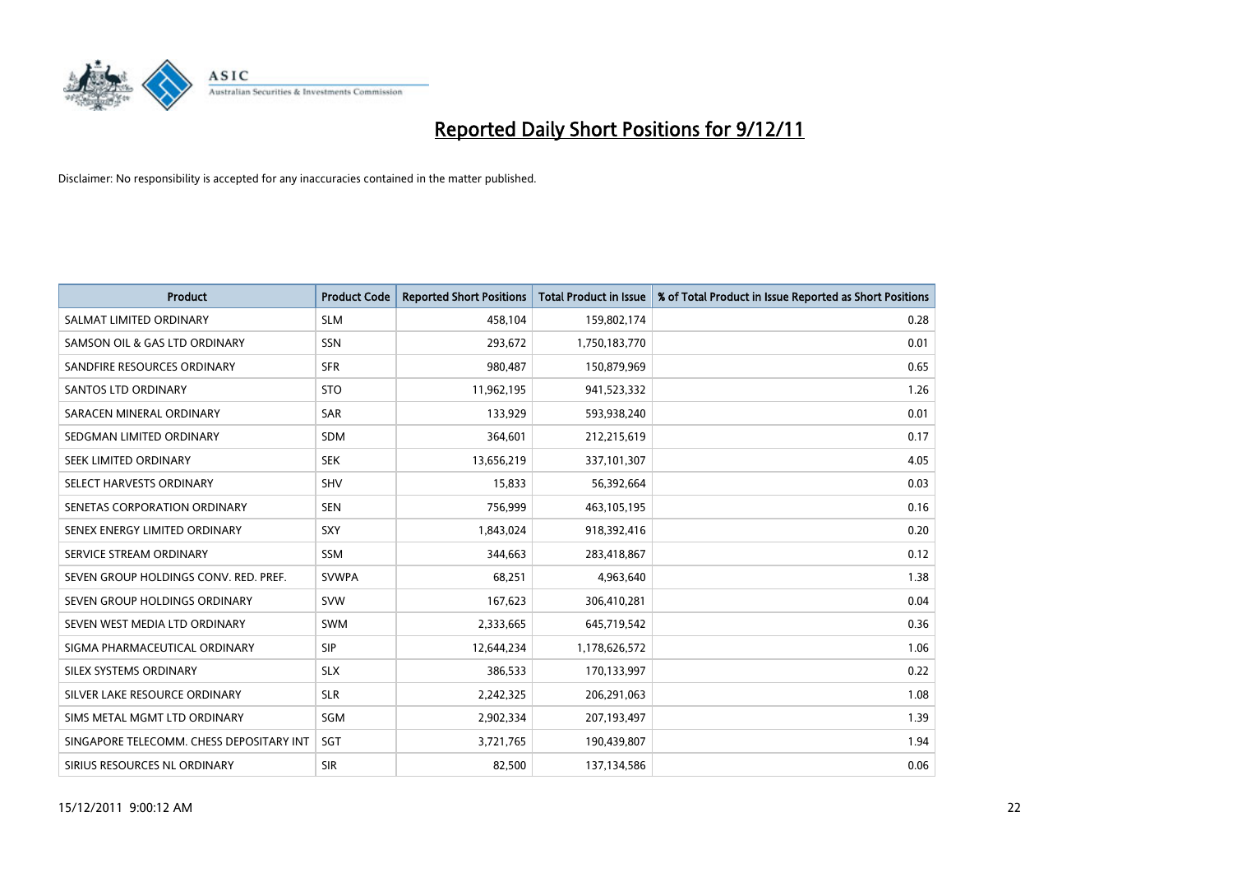

| <b>Product</b>                           | <b>Product Code</b> | <b>Reported Short Positions</b> | <b>Total Product in Issue</b> | % of Total Product in Issue Reported as Short Positions |
|------------------------------------------|---------------------|---------------------------------|-------------------------------|---------------------------------------------------------|
| SALMAT LIMITED ORDINARY                  | <b>SLM</b>          | 458,104                         | 159,802,174                   | 0.28                                                    |
| SAMSON OIL & GAS LTD ORDINARY            | SSN                 | 293,672                         | 1,750,183,770                 | 0.01                                                    |
| SANDFIRE RESOURCES ORDINARY              | <b>SFR</b>          | 980,487                         | 150,879,969                   | 0.65                                                    |
| <b>SANTOS LTD ORDINARY</b>               | <b>STO</b>          | 11,962,195                      | 941,523,332                   | 1.26                                                    |
| SARACEN MINERAL ORDINARY                 | <b>SAR</b>          | 133,929                         | 593,938,240                   | 0.01                                                    |
| SEDGMAN LIMITED ORDINARY                 | <b>SDM</b>          | 364,601                         | 212,215,619                   | 0.17                                                    |
| SEEK LIMITED ORDINARY                    | <b>SEK</b>          | 13,656,219                      | 337,101,307                   | 4.05                                                    |
| SELECT HARVESTS ORDINARY                 | <b>SHV</b>          | 15,833                          | 56,392,664                    | 0.03                                                    |
| SENETAS CORPORATION ORDINARY             | <b>SEN</b>          | 756,999                         | 463,105,195                   | 0.16                                                    |
| SENEX ENERGY LIMITED ORDINARY            | <b>SXY</b>          | 1,843,024                       | 918,392,416                   | 0.20                                                    |
| SERVICE STREAM ORDINARY                  | <b>SSM</b>          | 344,663                         | 283,418,867                   | 0.12                                                    |
| SEVEN GROUP HOLDINGS CONV. RED. PREF.    | <b>SVWPA</b>        | 68,251                          | 4,963,640                     | 1.38                                                    |
| SEVEN GROUP HOLDINGS ORDINARY            | <b>SVW</b>          | 167,623                         | 306,410,281                   | 0.04                                                    |
| SEVEN WEST MEDIA LTD ORDINARY            | <b>SWM</b>          | 2,333,665                       | 645,719,542                   | 0.36                                                    |
| SIGMA PHARMACEUTICAL ORDINARY            | <b>SIP</b>          | 12,644,234                      | 1,178,626,572                 | 1.06                                                    |
| SILEX SYSTEMS ORDINARY                   | <b>SLX</b>          | 386,533                         | 170,133,997                   | 0.22                                                    |
| SILVER LAKE RESOURCE ORDINARY            | <b>SLR</b>          | 2,242,325                       | 206,291,063                   | 1.08                                                    |
| SIMS METAL MGMT LTD ORDINARY             | SGM                 | 2,902,334                       | 207,193,497                   | 1.39                                                    |
| SINGAPORE TELECOMM. CHESS DEPOSITARY INT | <b>SGT</b>          | 3,721,765                       | 190,439,807                   | 1.94                                                    |
| SIRIUS RESOURCES NL ORDINARY             | <b>SIR</b>          | 82,500                          | 137,134,586                   | 0.06                                                    |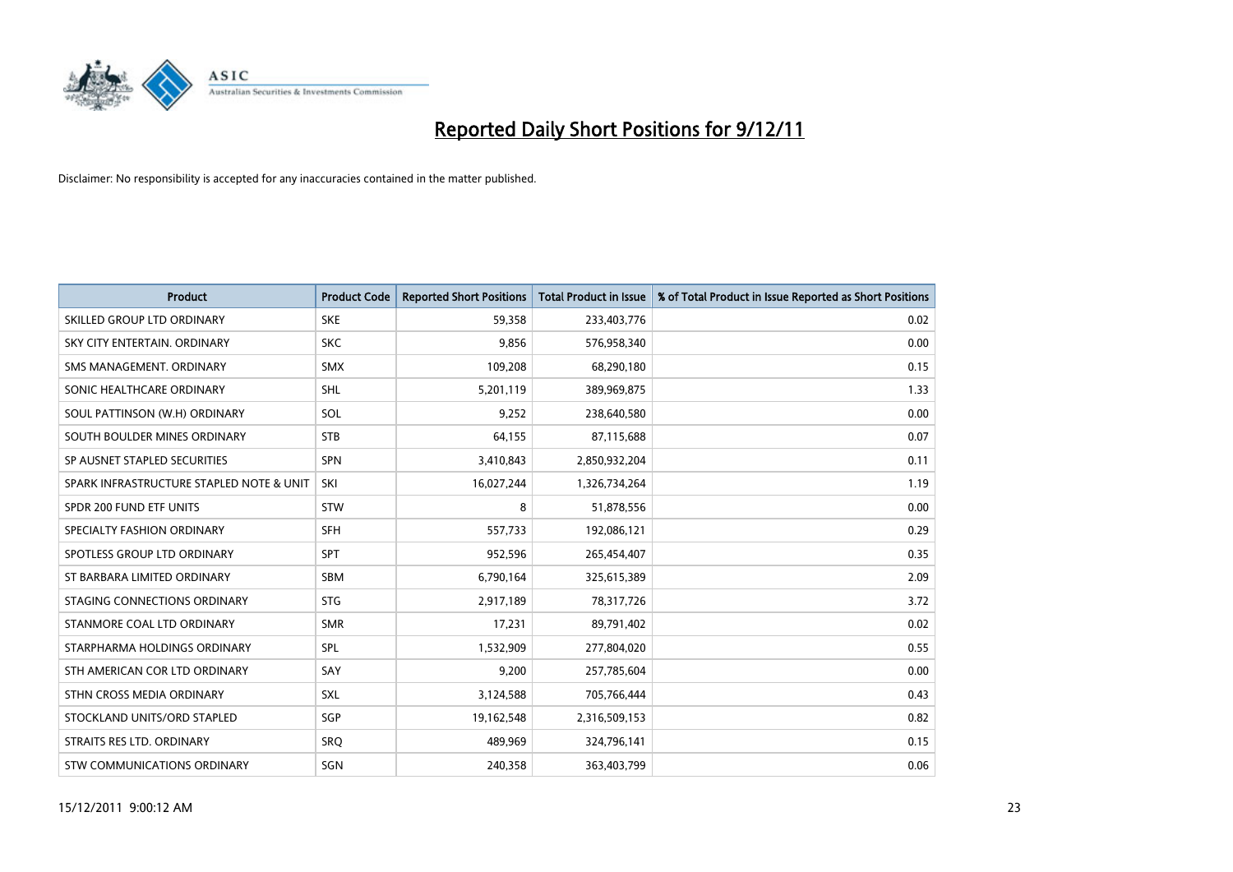

| <b>Product</b>                           | <b>Product Code</b> | <b>Reported Short Positions</b> | <b>Total Product in Issue</b> | % of Total Product in Issue Reported as Short Positions |
|------------------------------------------|---------------------|---------------------------------|-------------------------------|---------------------------------------------------------|
| SKILLED GROUP LTD ORDINARY               | <b>SKE</b>          | 59,358                          | 233,403,776                   | 0.02                                                    |
| SKY CITY ENTERTAIN, ORDINARY             | <b>SKC</b>          | 9,856                           | 576,958,340                   | 0.00                                                    |
| SMS MANAGEMENT, ORDINARY                 | <b>SMX</b>          | 109,208                         | 68,290,180                    | 0.15                                                    |
| SONIC HEALTHCARE ORDINARY                | <b>SHL</b>          | 5,201,119                       | 389,969,875                   | 1.33                                                    |
| SOUL PATTINSON (W.H) ORDINARY            | SOL                 | 9,252                           | 238,640,580                   | 0.00                                                    |
| SOUTH BOULDER MINES ORDINARY             | <b>STB</b>          | 64,155                          | 87,115,688                    | 0.07                                                    |
| SP AUSNET STAPLED SECURITIES             | <b>SPN</b>          | 3,410,843                       | 2,850,932,204                 | 0.11                                                    |
| SPARK INFRASTRUCTURE STAPLED NOTE & UNIT | SKI                 | 16,027,244                      | 1,326,734,264                 | 1.19                                                    |
| SPDR 200 FUND ETF UNITS                  | <b>STW</b>          | 8                               | 51,878,556                    | 0.00                                                    |
| SPECIALTY FASHION ORDINARY               | <b>SFH</b>          | 557,733                         | 192,086,121                   | 0.29                                                    |
| SPOTLESS GROUP LTD ORDINARY              | <b>SPT</b>          | 952,596                         | 265,454,407                   | 0.35                                                    |
| ST BARBARA LIMITED ORDINARY              | <b>SBM</b>          | 6,790,164                       | 325,615,389                   | 2.09                                                    |
| STAGING CONNECTIONS ORDINARY             | <b>STG</b>          | 2,917,189                       | 78,317,726                    | 3.72                                                    |
| STANMORE COAL LTD ORDINARY               | <b>SMR</b>          | 17,231                          | 89,791,402                    | 0.02                                                    |
| STARPHARMA HOLDINGS ORDINARY             | SPL                 | 1,532,909                       | 277,804,020                   | 0.55                                                    |
| STH AMERICAN COR LTD ORDINARY            | SAY                 | 9,200                           | 257,785,604                   | 0.00                                                    |
| STHN CROSS MEDIA ORDINARY                | <b>SXL</b>          | 3,124,588                       | 705,766,444                   | 0.43                                                    |
| STOCKLAND UNITS/ORD STAPLED              | SGP                 | 19,162,548                      | 2,316,509,153                 | 0.82                                                    |
| STRAITS RES LTD. ORDINARY                | SRO                 | 489,969                         | 324,796,141                   | 0.15                                                    |
| STW COMMUNICATIONS ORDINARY              | SGN                 | 240,358                         | 363,403,799                   | 0.06                                                    |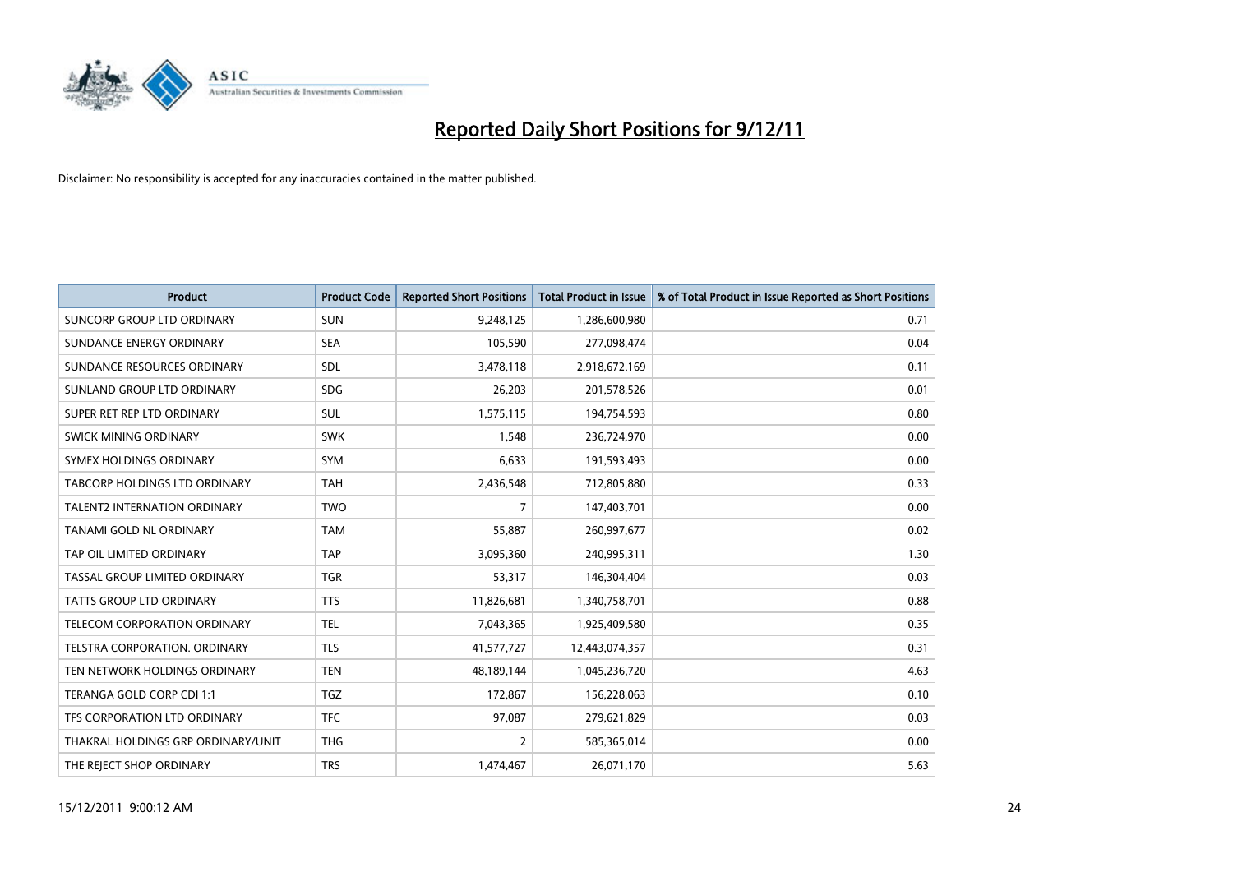

| <b>Product</b>                       | <b>Product Code</b> | <b>Reported Short Positions</b> | <b>Total Product in Issue</b> | % of Total Product in Issue Reported as Short Positions |
|--------------------------------------|---------------------|---------------------------------|-------------------------------|---------------------------------------------------------|
| SUNCORP GROUP LTD ORDINARY           | <b>SUN</b>          | 9,248,125                       | 1,286,600,980                 | 0.71                                                    |
| SUNDANCE ENERGY ORDINARY             | <b>SEA</b>          | 105,590                         | 277,098,474                   | 0.04                                                    |
| SUNDANCE RESOURCES ORDINARY          | <b>SDL</b>          | 3,478,118                       | 2,918,672,169                 | 0.11                                                    |
| SUNLAND GROUP LTD ORDINARY           | <b>SDG</b>          | 26,203                          | 201,578,526                   | 0.01                                                    |
| SUPER RET REP LTD ORDINARY           | <b>SUL</b>          | 1,575,115                       | 194,754,593                   | 0.80                                                    |
| SWICK MINING ORDINARY                | <b>SWK</b>          | 1,548                           | 236,724,970                   | 0.00                                                    |
| SYMEX HOLDINGS ORDINARY              | <b>SYM</b>          | 6,633                           | 191,593,493                   | 0.00                                                    |
| TABCORP HOLDINGS LTD ORDINARY        | <b>TAH</b>          | 2,436,548                       | 712,805,880                   | 0.33                                                    |
| <b>TALENT2 INTERNATION ORDINARY</b>  | <b>TWO</b>          | 7                               | 147,403,701                   | 0.00                                                    |
| TANAMI GOLD NL ORDINARY              | <b>TAM</b>          | 55,887                          | 260,997,677                   | 0.02                                                    |
| TAP OIL LIMITED ORDINARY             | <b>TAP</b>          | 3,095,360                       | 240,995,311                   | 1.30                                                    |
| <b>TASSAL GROUP LIMITED ORDINARY</b> | <b>TGR</b>          | 53,317                          | 146,304,404                   | 0.03                                                    |
| TATTS GROUP LTD ORDINARY             | <b>TTS</b>          | 11,826,681                      | 1,340,758,701                 | 0.88                                                    |
| TELECOM CORPORATION ORDINARY         | <b>TEL</b>          | 7,043,365                       | 1,925,409,580                 | 0.35                                                    |
| TELSTRA CORPORATION, ORDINARY        | <b>TLS</b>          | 41,577,727                      | 12,443,074,357                | 0.31                                                    |
| TEN NETWORK HOLDINGS ORDINARY        | <b>TEN</b>          | 48,189,144                      | 1,045,236,720                 | 4.63                                                    |
| TERANGA GOLD CORP CDI 1:1            | <b>TGZ</b>          | 172,867                         | 156,228,063                   | 0.10                                                    |
| TFS CORPORATION LTD ORDINARY         | <b>TFC</b>          | 97,087                          | 279,621,829                   | 0.03                                                    |
| THAKRAL HOLDINGS GRP ORDINARY/UNIT   | <b>THG</b>          | $\overline{2}$                  | 585,365,014                   | 0.00                                                    |
| THE REJECT SHOP ORDINARY             | <b>TRS</b>          | 1,474,467                       | 26,071,170                    | 5.63                                                    |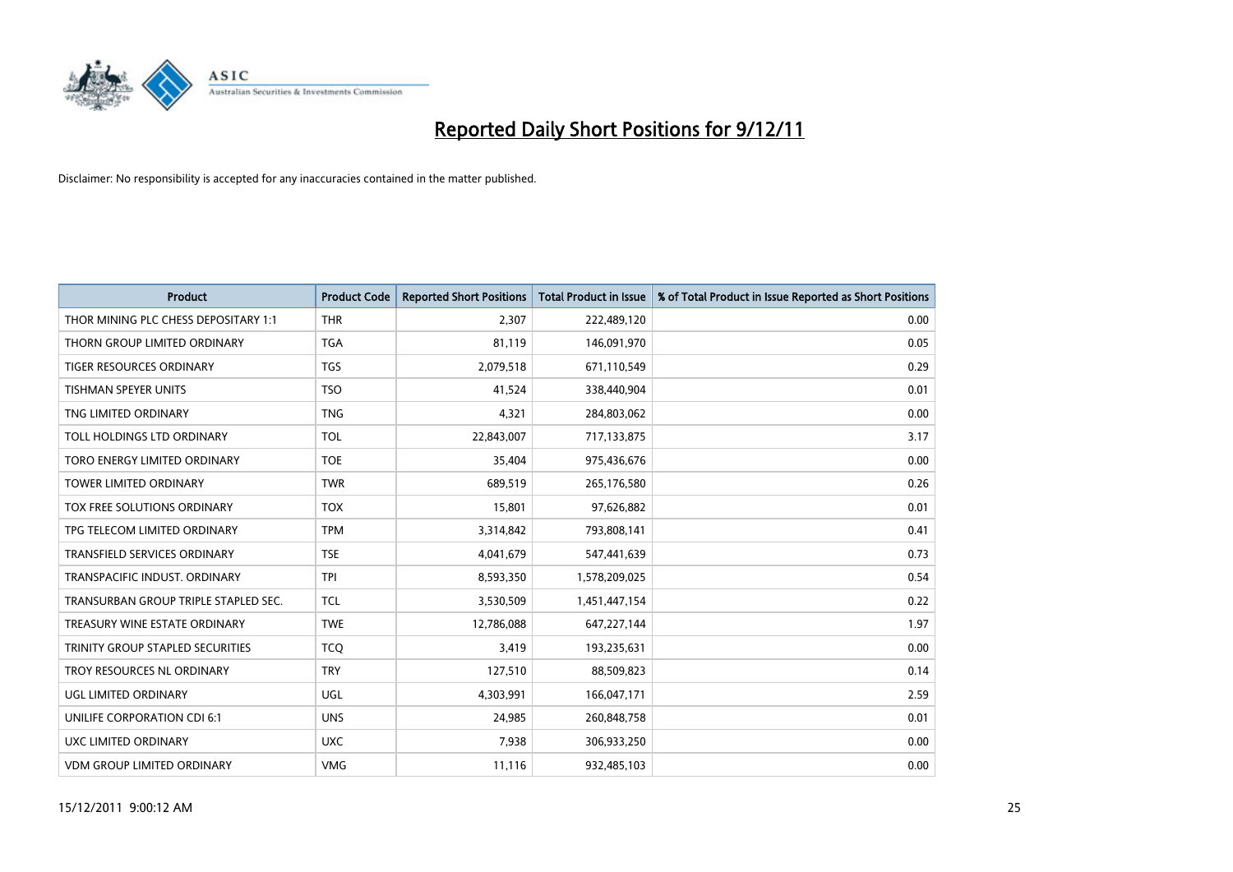

| <b>Product</b>                       | <b>Product Code</b> | <b>Reported Short Positions</b> | <b>Total Product in Issue</b> | % of Total Product in Issue Reported as Short Positions |
|--------------------------------------|---------------------|---------------------------------|-------------------------------|---------------------------------------------------------|
| THOR MINING PLC CHESS DEPOSITARY 1:1 | <b>THR</b>          | 2,307                           | 222,489,120                   | 0.00                                                    |
| THORN GROUP LIMITED ORDINARY         | <b>TGA</b>          | 81,119                          | 146,091,970                   | 0.05                                                    |
| <b>TIGER RESOURCES ORDINARY</b>      | <b>TGS</b>          | 2,079,518                       | 671,110,549                   | 0.29                                                    |
| TISHMAN SPEYER UNITS                 | <b>TSO</b>          | 41,524                          | 338,440,904                   | 0.01                                                    |
| TNG LIMITED ORDINARY                 | <b>TNG</b>          | 4,321                           | 284,803,062                   | 0.00                                                    |
| TOLL HOLDINGS LTD ORDINARY           | <b>TOL</b>          | 22,843,007                      | 717,133,875                   | 3.17                                                    |
| TORO ENERGY LIMITED ORDINARY         | <b>TOE</b>          | 35,404                          | 975,436,676                   | 0.00                                                    |
| TOWER LIMITED ORDINARY               | <b>TWR</b>          | 689,519                         | 265,176,580                   | 0.26                                                    |
| TOX FREE SOLUTIONS ORDINARY          | <b>TOX</b>          | 15,801                          | 97,626,882                    | 0.01                                                    |
| TPG TELECOM LIMITED ORDINARY         | <b>TPM</b>          | 3,314,842                       | 793,808,141                   | 0.41                                                    |
| TRANSFIELD SERVICES ORDINARY         | <b>TSE</b>          | 4,041,679                       | 547,441,639                   | 0.73                                                    |
| TRANSPACIFIC INDUST, ORDINARY        | <b>TPI</b>          | 8,593,350                       | 1,578,209,025                 | 0.54                                                    |
| TRANSURBAN GROUP TRIPLE STAPLED SEC. | <b>TCL</b>          | 3,530,509                       | 1,451,447,154                 | 0.22                                                    |
| TREASURY WINE ESTATE ORDINARY        | <b>TWE</b>          | 12,786,088                      | 647,227,144                   | 1.97                                                    |
| TRINITY GROUP STAPLED SECURITIES     | <b>TCQ</b>          | 3,419                           | 193,235,631                   | 0.00                                                    |
| TROY RESOURCES NL ORDINARY           | <b>TRY</b>          | 127,510                         | 88,509,823                    | 0.14                                                    |
| UGL LIMITED ORDINARY                 | UGL                 | 4,303,991                       | 166,047,171                   | 2.59                                                    |
| UNILIFE CORPORATION CDI 6:1          | <b>UNS</b>          | 24,985                          | 260,848,758                   | 0.01                                                    |
| UXC LIMITED ORDINARY                 | <b>UXC</b>          | 7,938                           | 306,933,250                   | 0.00                                                    |
| <b>VDM GROUP LIMITED ORDINARY</b>    | <b>VMG</b>          | 11,116                          | 932,485,103                   | 0.00                                                    |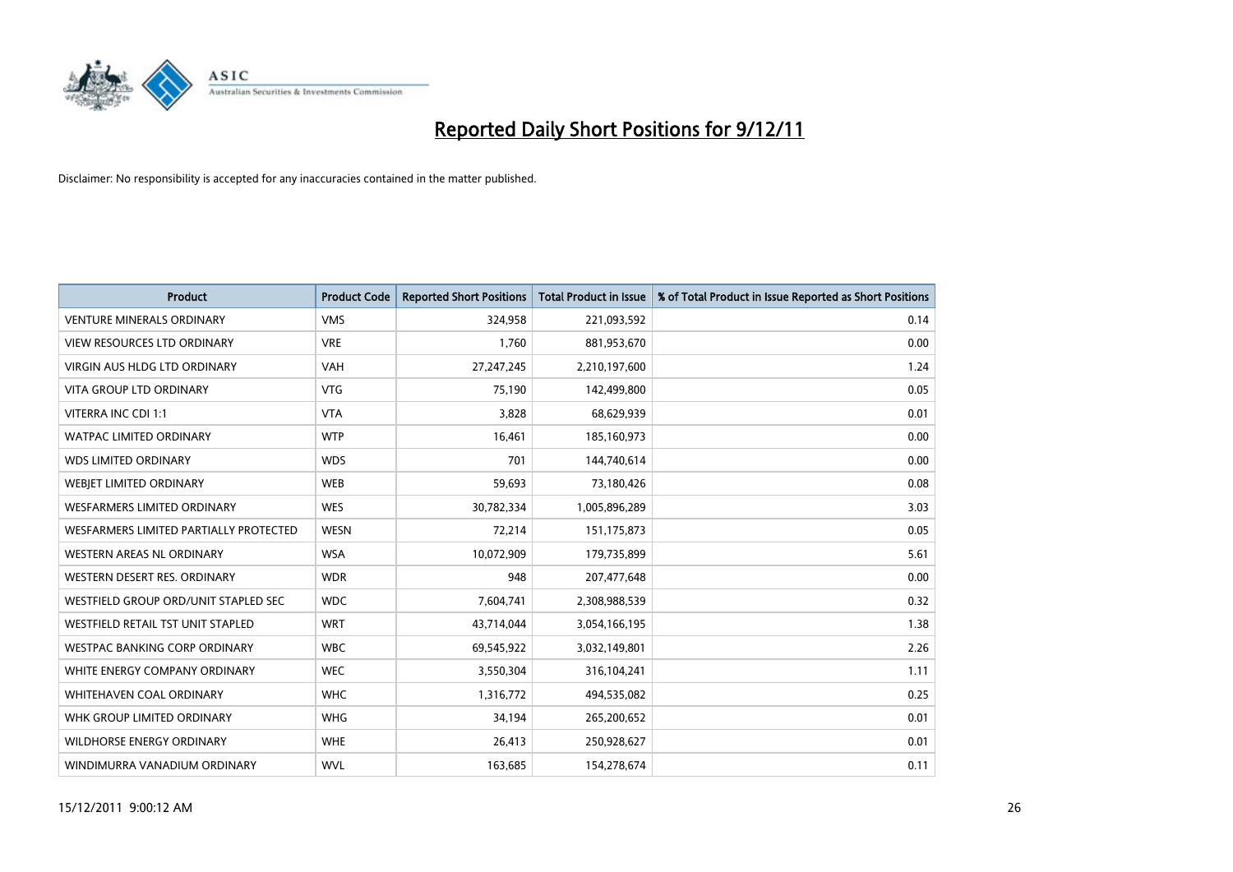

| <b>Product</b>                           | <b>Product Code</b> | <b>Reported Short Positions</b> | <b>Total Product in Issue</b> | % of Total Product in Issue Reported as Short Positions |
|------------------------------------------|---------------------|---------------------------------|-------------------------------|---------------------------------------------------------|
| <b>VENTURE MINERALS ORDINARY</b>         | <b>VMS</b>          | 324,958                         | 221,093,592                   | 0.14                                                    |
| <b>VIEW RESOURCES LTD ORDINARY</b>       | <b>VRE</b>          | 1,760                           | 881,953,670                   | 0.00                                                    |
| <b>VIRGIN AUS HLDG LTD ORDINARY</b>      | <b>VAH</b>          | 27,247,245                      | 2,210,197,600                 | 1.24                                                    |
| VITA GROUP LTD ORDINARY                  | <b>VTG</b>          | 75,190                          | 142,499,800                   | 0.05                                                    |
| VITERRA INC CDI 1:1                      | <b>VTA</b>          | 3,828                           | 68,629,939                    | 0.01                                                    |
| <b>WATPAC LIMITED ORDINARY</b>           | <b>WTP</b>          | 16,461                          | 185,160,973                   | 0.00                                                    |
| <b>WDS LIMITED ORDINARY</b>              | <b>WDS</b>          | 701                             | 144,740,614                   | 0.00                                                    |
| WEBIET LIMITED ORDINARY                  | <b>WEB</b>          | 59,693                          | 73,180,426                    | 0.08                                                    |
| <b>WESFARMERS LIMITED ORDINARY</b>       | <b>WES</b>          | 30,782,334                      | 1,005,896,289                 | 3.03                                                    |
| WESFARMERS LIMITED PARTIALLY PROTECTED   | <b>WESN</b>         | 72,214                          | 151, 175, 873                 | 0.05                                                    |
| WESTERN AREAS NL ORDINARY                | <b>WSA</b>          | 10,072,909                      | 179,735,899                   | 5.61                                                    |
| WESTERN DESERT RES. ORDINARY             | <b>WDR</b>          | 948                             | 207,477,648                   | 0.00                                                    |
| WESTFIELD GROUP ORD/UNIT STAPLED SEC     | <b>WDC</b>          | 7,604,741                       | 2,308,988,539                 | 0.32                                                    |
| <b>WESTFIELD RETAIL TST UNIT STAPLED</b> | <b>WRT</b>          | 43,714,044                      | 3,054,166,195                 | 1.38                                                    |
| <b>WESTPAC BANKING CORP ORDINARY</b>     | <b>WBC</b>          | 69,545,922                      | 3,032,149,801                 | 2.26                                                    |
| WHITE ENERGY COMPANY ORDINARY            | <b>WEC</b>          | 3,550,304                       | 316,104,241                   | 1.11                                                    |
| <b>WHITEHAVEN COAL ORDINARY</b>          | <b>WHC</b>          | 1,316,772                       | 494,535,082                   | 0.25                                                    |
| WHK GROUP LIMITED ORDINARY               | <b>WHG</b>          | 34,194                          | 265,200,652                   | 0.01                                                    |
| <b>WILDHORSE ENERGY ORDINARY</b>         | <b>WHE</b>          | 26,413                          | 250,928,627                   | 0.01                                                    |
| WINDIMURRA VANADIUM ORDINARY             | <b>WVL</b>          | 163,685                         | 154,278,674                   | 0.11                                                    |